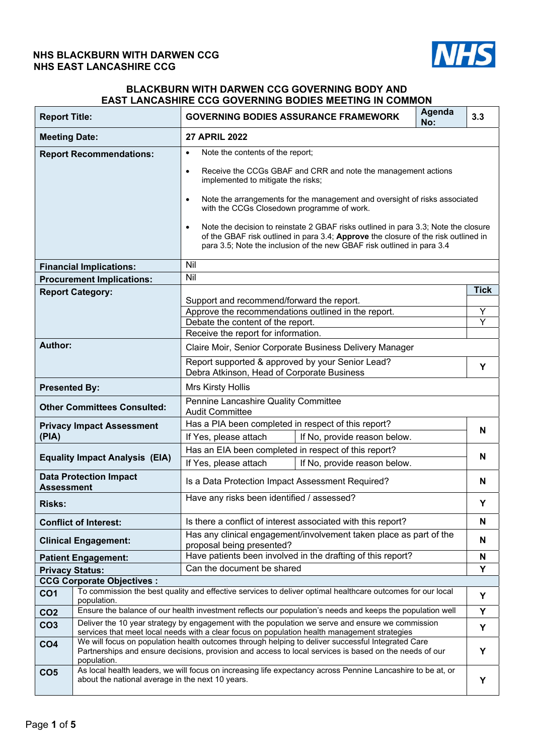# **NHS BLACKBURN WITH DARWEN CCG NHS EAST LANCASHIRE CCG**



# **BLACKBURN WITH DARWEN CCG GOVERNING BODY AND EAST LANCASHIRE CCG GOVERNING BODIES MEETING IN COMMON**

| <b>Report Title:</b>   |                                                                                                                                                                                                                            | Agenda<br><b>GOVERNING BODIES ASSURANCE FRAMEWORK</b><br>No:                                                                                                                                                                                                    | 3.3         |  |  |  |  |
|------------------------|----------------------------------------------------------------------------------------------------------------------------------------------------------------------------------------------------------------------------|-----------------------------------------------------------------------------------------------------------------------------------------------------------------------------------------------------------------------------------------------------------------|-------------|--|--|--|--|
| <b>Meeting Date:</b>   |                                                                                                                                                                                                                            | <b>27 APRIL 2022</b>                                                                                                                                                                                                                                            |             |  |  |  |  |
|                        | <b>Report Recommendations:</b>                                                                                                                                                                                             | Note the contents of the report;<br>$\bullet$                                                                                                                                                                                                                   |             |  |  |  |  |
|                        |                                                                                                                                                                                                                            | Receive the CCGs GBAF and CRR and note the management actions<br>$\bullet$<br>implemented to mitigate the risks;                                                                                                                                                |             |  |  |  |  |
|                        |                                                                                                                                                                                                                            | Note the arrangements for the management and oversight of risks associated<br>$\bullet$<br>with the CCGs Closedown programme of work.                                                                                                                           |             |  |  |  |  |
|                        |                                                                                                                                                                                                                            | Note the decision to reinstate 2 GBAF risks outlined in para 3.3; Note the closure<br>$\bullet$<br>of the GBAF risk outlined in para 3.4; Approve the closure of the risk outlined in<br>para 3.5; Note the inclusion of the new GBAF risk outlined in para 3.4 |             |  |  |  |  |
|                        | <b>Financial Implications:</b>                                                                                                                                                                                             | Nil                                                                                                                                                                                                                                                             |             |  |  |  |  |
|                        | <b>Procurement Implications:</b>                                                                                                                                                                                           | Nil                                                                                                                                                                                                                                                             |             |  |  |  |  |
|                        | <b>Report Category:</b>                                                                                                                                                                                                    |                                                                                                                                                                                                                                                                 | <b>Tick</b> |  |  |  |  |
|                        |                                                                                                                                                                                                                            | Support and recommend/forward the report.<br>Approve the recommendations outlined in the report.                                                                                                                                                                | Υ           |  |  |  |  |
|                        |                                                                                                                                                                                                                            | Debate the content of the report.                                                                                                                                                                                                                               | Ÿ           |  |  |  |  |
|                        |                                                                                                                                                                                                                            | Receive the report for information.                                                                                                                                                                                                                             |             |  |  |  |  |
| Author:                |                                                                                                                                                                                                                            | Claire Moir, Senior Corporate Business Delivery Manager                                                                                                                                                                                                         |             |  |  |  |  |
|                        |                                                                                                                                                                                                                            | Report supported & approved by your Senior Lead?<br>Debra Atkinson, Head of Corporate Business                                                                                                                                                                  |             |  |  |  |  |
| <b>Presented By:</b>   |                                                                                                                                                                                                                            | Mrs Kirsty Hollis                                                                                                                                                                                                                                               |             |  |  |  |  |
|                        | Pennine Lancashire Quality Committee<br><b>Other Committees Consulted:</b><br><b>Audit Committee</b>                                                                                                                       |                                                                                                                                                                                                                                                                 |             |  |  |  |  |
|                        | <b>Privacy Impact Assessment</b>                                                                                                                                                                                           | Has a PIA been completed in respect of this report?                                                                                                                                                                                                             |             |  |  |  |  |
| (PIA)                  |                                                                                                                                                                                                                            | If No, provide reason below.<br>If Yes, please attach                                                                                                                                                                                                           | N           |  |  |  |  |
|                        | <b>Equality Impact Analysis (EIA)</b>                                                                                                                                                                                      | Has an EIA been completed in respect of this report?                                                                                                                                                                                                            | N           |  |  |  |  |
|                        |                                                                                                                                                                                                                            | If No, provide reason below.<br>If Yes, please attach                                                                                                                                                                                                           |             |  |  |  |  |
| <b>Assessment</b>      | <b>Data Protection Impact</b>                                                                                                                                                                                              | Is a Data Protection Impact Assessment Required?                                                                                                                                                                                                                | N           |  |  |  |  |
| <b>Risks:</b>          |                                                                                                                                                                                                                            | Have any risks been identified / assessed?                                                                                                                                                                                                                      | Υ           |  |  |  |  |
|                        | <b>Conflict of Interest:</b>                                                                                                                                                                                               | Is there a conflict of interest associated with this report?                                                                                                                                                                                                    | N           |  |  |  |  |
|                        | <b>Clinical Engagement:</b>                                                                                                                                                                                                | Has any clinical engagement/involvement taken place as part of the<br>proposal being presented?                                                                                                                                                                 | N           |  |  |  |  |
|                        | <b>Patient Engagement:</b>                                                                                                                                                                                                 | Have patients been involved in the drafting of this report?                                                                                                                                                                                                     | N           |  |  |  |  |
| <b>Privacy Status:</b> |                                                                                                                                                                                                                            | Can the document be shared                                                                                                                                                                                                                                      | Υ           |  |  |  |  |
|                        | <b>CCG Corporate Objectives:</b>                                                                                                                                                                                           |                                                                                                                                                                                                                                                                 |             |  |  |  |  |
| CO <sub>1</sub>        | To commission the best quality and effective services to deliver optimal healthcare outcomes for our local<br>Υ<br>population.                                                                                             |                                                                                                                                                                                                                                                                 |             |  |  |  |  |
| CO <sub>2</sub>        | Ensure the balance of our health investment reflects our population's needs and keeps the population well                                                                                                                  |                                                                                                                                                                                                                                                                 |             |  |  |  |  |
| CO <sub>3</sub>        | Deliver the 10 year strategy by engagement with the population we serve and ensure we commission<br>services that meet local needs with a clear focus on population health management strategies                           |                                                                                                                                                                                                                                                                 |             |  |  |  |  |
| CO <sub>4</sub>        | We will focus on population health outcomes through helping to deliver successful Integrated Care<br>Partnerships and ensure decisions, provision and access to local services is based on the needs of our<br>population. |                                                                                                                                                                                                                                                                 |             |  |  |  |  |
| CO <sub>5</sub>        | As local health leaders, we will focus on increasing life expectancy across Pennine Lancashire to be at, or<br>about the national average in the next 10 years.                                                            |                                                                                                                                                                                                                                                                 |             |  |  |  |  |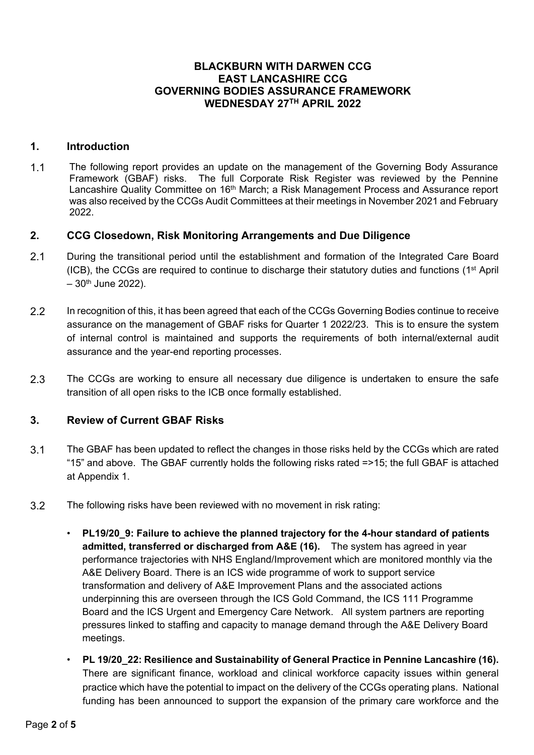# **BLACKBURN WITH DARWEN CCG EAST LANCASHIRE CCG GOVERNING BODIES ASSURANCE FRAMEWORK WEDNESDAY 27TH APRIL 2022**

# **1. Introduction**

1.1 The following report provides an update on the management of the Governing Body Assurance Framework (GBAF) risks. The full Corporate Risk Register was reviewed by the Pennine Lancashire Quality Committee on 16<sup>th</sup> March; a Risk Management Process and Assurance report was also received by the CCGs Audit Committees at their meetings in November 2021 and February 2022.

# **2. CCG Closedown, Risk Monitoring Arrangements and Due Diligence**

- 2.1 During the transitional period until the establishment and formation of the Integrated Care Board (ICB), the CCGs are required to continue to discharge their statutory duties and functions ( $1<sup>st</sup>$  April  $-30$ <sup>th</sup> June 2022).
- 2.2 In recognition of this, it has been agreed that each of the CCGs Governing Bodies continue to receive assurance on the management of GBAF risks for Quarter 1 2022/23. This is to ensure the system of internal control is maintained and supports the requirements of both internal/external audit assurance and the year-end reporting processes.
- 2.3 The CCGs are working to ensure all necessary due diligence is undertaken to ensure the safe transition of all open risks to the ICB once formally established.

# **3. Review of Current GBAF Risks**

- 3.1 The GBAF has been updated to reflect the changes in those risks held by the CCGs which are rated "15" and above. The GBAF currently holds the following risks rated =>15; the full GBAF is attached at Appendix 1.
- 3.2 The following risks have been reviewed with no movement in risk rating:
	- **PL19/20\_9: Failure to achieve the planned trajectory for the 4-hour standard of patients admitted, transferred or discharged from A&E (16).** The system has agreed in year performance trajectories with NHS England/Improvement which are monitored monthly via the A&E Delivery Board. There is an ICS wide programme of work to support service transformation and delivery of A&E Improvement Plans and the associated actions underpinning this are overseen through the ICS Gold Command, the ICS 111 Programme Board and the ICS Urgent and Emergency Care Network. All system partners are reporting pressures linked to staffing and capacity to manage demand through the A&E Delivery Board meetings.
	- **PL 19/20\_22: Resilience and Sustainability of General Practice in Pennine Lancashire (16).**  There are significant finance, workload and clinical workforce capacity issues within general practice which have the potential to impact on the delivery of the CCGs operating plans. National funding has been announced to support the expansion of the primary care workforce and the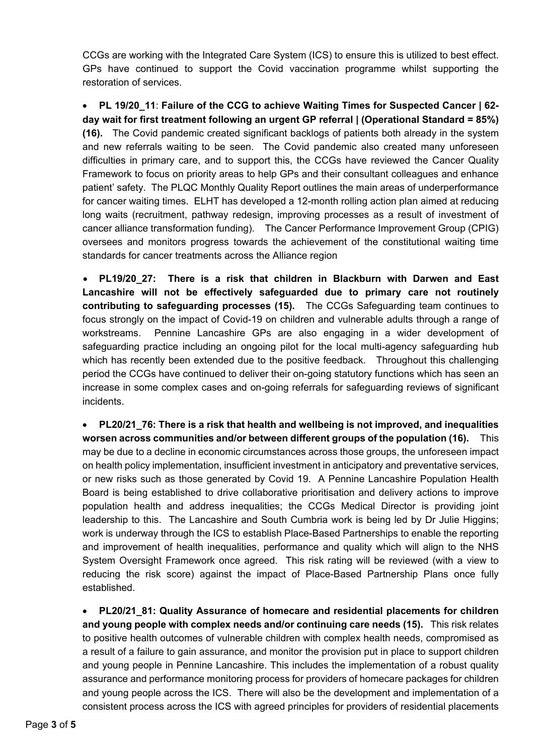CCGs are working with the Integrated Care System (ICS) to ensure this is utilized to best effect. GPs have continued to support the Covid vaccination programme whilst supporting the restoration of services.

 **PL 19/20\_11**: **Failure of the CCG to achieve Waiting Times for Suspected Cancer | 62 day wait for first treatment following an urgent GP referral | (Operational Standard = 85%) (16).** The Covid pandemic created significant backlogs of patients both already in the system and new referrals waiting to be seen. The Covid pandemic also created many unforeseen difficulties in primary care, and to support this, the CCGs have reviewed the Cancer Quality Framework to focus on priority areas to help GPs and their consultant colleagues and enhance patient' safety.The PLQC Monthly Quality Report outlines the main areas of underperformance for cancer waiting times. ELHT has developed a 12-month rolling action plan aimed at reducing long waits (recruitment, pathway redesign, improving processes as a result of investment of cancer alliance transformation funding). The Cancer Performance Improvement Group (CPIG) oversees and monitors progress towards the achievement of the constitutional waiting time standards for cancer treatments across the Alliance region

 **PL19/20\_27: There is a risk that children in Blackburn with Darwen and East Lancashire will not be effectively safeguarded due to primary care not routinely contributing to safeguarding processes (15).** The CCGs Safeguarding team continues to focus strongly on the impact of Covid-19 on children and vulnerable adults through a range of workstreams. Pennine Lancashire GPs are also engaging in a wider development of safeguarding practice including an ongoing pilot for the local multi-agency safeguarding hub which has recently been extended due to the positive feedback. Throughout this challenging period the CCGs have continued to deliver their on-going statutory functions which has seen an increase in some complex cases and on-going referrals for safeguarding reviews of significant incidents.

 **PL20/21\_76: There is a risk that health and wellbeing is not improved, and inequalities worsen across communities and/or between different groups of the population (16).** This may be due to a decline in economic circumstances across those groups, the unforeseen impact on health policy implementation, insufficient investment in anticipatory and preventative services, or new risks such as those generated by Covid 19. A Pennine Lancashire Population Health Board is being established to drive collaborative prioritisation and delivery actions to improve population health and address inequalities; the CCGs Medical Director is providing joint leadership to this. The Lancashire and South Cumbria work is being led by Dr Julie Higgins; work is underway through the ICS to establish Place-Based Partnerships to enable the reporting and improvement of health inequalities, performance and quality which will align to the NHS System Oversight Framework once agreed. This risk rating will be reviewed (with a view to reducing the risk score) against the impact of Place-Based Partnership Plans once fully established.

 **PL20/21\_81: Quality Assurance of homecare and residential placements for children and young people with complex needs and/or continuing care needs (15).** This risk relates to positive health outcomes of vulnerable children with complex health needs, compromised as a result of a failure to gain assurance, and monitor the provision put in place to support children and young people in Pennine Lancashire. This includes the implementation of a robust quality assurance and performance monitoring process for providers of homecare packages for children and young people across the ICS. There will also be the development and implementation of a consistent process across the ICS with agreed principles for providers of residential placements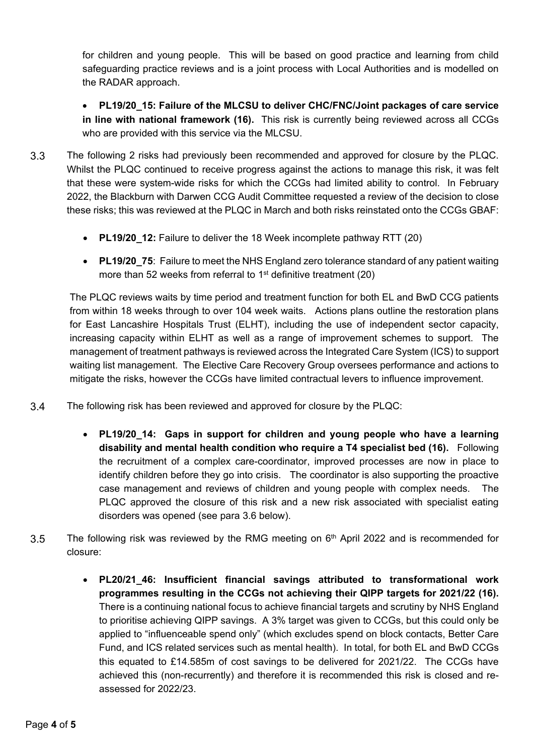for children and young people. This will be based on good practice and learning from child safeguarding practice reviews and is a joint process with Local Authorities and is modelled on the RADAR approach.

 **PL19/20\_15: Failure of the MLCSU to deliver CHC/FNC/Joint packages of care service in line with national framework (16).** This risk is currently being reviewed across all CCGs who are provided with this service via the MLCSU.

- 3.3 The following 2 risks had previously been recommended and approved for closure by the PLQC. Whilst the PLQC continued to receive progress against the actions to manage this risk, it was felt that these were system-wide risks for which the CCGs had limited ability to control. In February 2022, the Blackburn with Darwen CCG Audit Committee requested a review of the decision to close these risks; this was reviewed at the PLQC in March and both risks reinstated onto the CCGs GBAF:
	- **PL19/20\_12:** Failure to deliver the 18 Week incomplete pathway RTT (20)
	- **PL19/20 75:** Failure to meet the NHS England zero tolerance standard of any patient waiting more than 52 weeks from referral to 1<sup>st</sup> definitive treatment (20)

The PLQC reviews waits by time period and treatment function for both EL and BwD CCG patients from within 18 weeks through to over 104 week waits. Actions plans outline the restoration plans for East Lancashire Hospitals Trust (ELHT), including the use of independent sector capacity, increasing capacity within ELHT as well as a range of improvement schemes to support. The management of treatment pathways is reviewed across the Integrated Care System (ICS) to support waiting list management. The Elective Care Recovery Group oversees performance and actions to mitigate the risks, however the CCGs have limited contractual levers to influence improvement.

- 3.4 The following risk has been reviewed and approved for closure by the PLQC:
	- **PL19/20\_14: Gaps in support for children and young people who have a learning disability and mental health condition who require a T4 specialist bed (16).** Following the recruitment of a complex care-coordinator, improved processes are now in place to identify children before they go into crisis. The coordinator is also supporting the proactive case management and reviews of children and young people with complex needs. The PLQC approved the closure of this risk and a new risk associated with specialist eating disorders was opened (see para 3.6 below).
- 3.5 The following risk was reviewed by the RMG meeting on  $6<sup>th</sup>$  April 2022 and is recommended for closure:
	- **PL20/21\_46: Insufficient financial savings attributed to transformational work programmes resulting in the CCGs not achieving their QIPP targets for 2021/22 (16).**  There is a continuing national focus to achieve financial targets and scrutiny by NHS England to prioritise achieving QIPP savings. A 3% target was given to CCGs, but this could only be applied to "influenceable spend only" (which excludes spend on block contacts, Better Care Fund, and ICS related services such as mental health). In total, for both EL and BwD CCGs this equated to £14.585m of cost savings to be delivered for 2021/22. The CCGs have achieved this (non-recurrently) and therefore it is recommended this risk is closed and reassessed for 2022/23.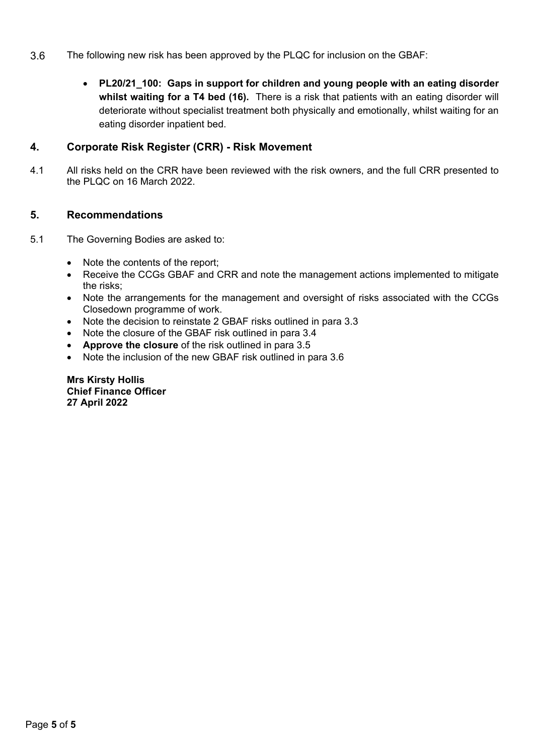- 3.6 The following new risk has been approved by the PLQC for inclusion on the GBAF:
	- **PL20/21\_100: Gaps in support for children and young people with an eating disorder whilst waiting for a T4 bed (16).** There is a risk that patients with an eating disorder will deteriorate without specialist treatment both physically and emotionally, whilst waiting for an eating disorder inpatient bed.

# **4. Corporate Risk Register (CRR) - Risk Movement**

4.1 All risks held on the CRR have been reviewed with the risk owners, and the full CRR presented to the PLQC on 16 March 2022.

# **5. Recommendations**

- 5.1 The Governing Bodies are asked to:
	- Note the contents of the report;
	- Receive the CCGs GBAF and CRR and note the management actions implemented to mitigate the risks;
	- Note the arrangements for the management and oversight of risks associated with the CCGs Closedown programme of work.
	- Note the decision to reinstate 2 GBAF risks outlined in para 3.3
	- Note the closure of the GBAF risk outlined in para 3.4
	- **Approve the closure** of the risk outlined in para 3.5
	- Note the inclusion of the new GBAF risk outlined in para 3.6

**Mrs Kirsty Hollis Chief Finance Officer 27 April 2022**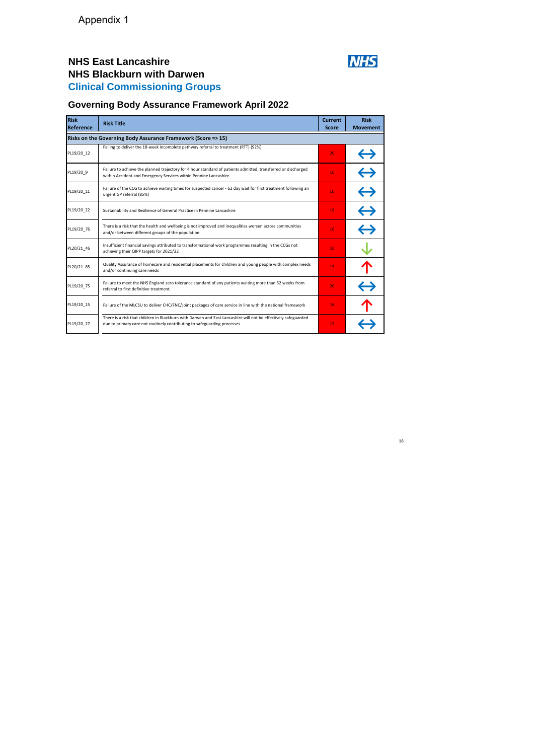# **NHS East Lancashire NHS Blackburn with Darwen Clinical Commissioning Groups**



16

# **Governing Body Assurance Framework April 2022**

| <b>Risk</b><br>Reference | <b>Risk Title</b>                                                                                                                                                                          | <b>Current</b><br><b>Score</b> | <b>Risk</b><br><b>Movement</b> |
|--------------------------|--------------------------------------------------------------------------------------------------------------------------------------------------------------------------------------------|--------------------------------|--------------------------------|
|                          | Risks on the Governing Body Assurance Framework (Score => 15)                                                                                                                              |                                |                                |
| PL19/20_12               | Failing to deliver the 18-week incomplete pathway referral to treatment (RTT) (92%)                                                                                                        | 20                             | $\leftrightarrow$              |
| PL19/20 9                | Failure to achieve the planned trajectory for 4 hour standard of patients admitted, transferred or discharged<br>within Accident and Emergency Services within Pennine Lancashire.         | 16                             | $\leftrightarrow$              |
| PL19/20 11               | Failure of the CCG to achieve waiting times for suspected cancer - 62 day wait for first treatment following an<br>urgent GP referral (85%)                                                | 16                             | $\leftrightarrow$              |
| PL19/20 22               | Sustainability and Resilience of General Practice in Pennine Lancashire                                                                                                                    | 16                             | $\leftrightarrow$              |
| PL19/20_76               | There is a risk that the health and wellbeing is not improved and inequalities worsen across communities<br>and/or between different groups of the population.                             | 16                             | $\leftrightarrow$              |
| PL20/21_46               | Insufficient financial savings attributed to transformational work programmes resulting in the CCGs not<br>achieving their QIPP targets for 2021/22                                        | 16                             |                                |
| PL20/21_85               | Quality Assurance of homecare and residential placements for children and young people with complex needs<br>and/or continuing care needs                                                  | 15                             | 个                              |
| PL19/20 75               | Failure to meet the NHS England zero tolerance standard of any patients waiting more than 52 weeks from<br>referral to first definitive treatment.                                         | 20                             | $\leftrightarrow$              |
| PL19/20_15               | Failure of the MLCSU to deliver CHC/FNC/Joint packages of care service in line with the national framework                                                                                 | 16                             |                                |
| PL19/20_27               | There is a risk that children in Blackburn with Darwen and East Lancashire will not be effectively safeguarded<br>due to primary care not routinely contributing to safeguarding processes | 15                             |                                |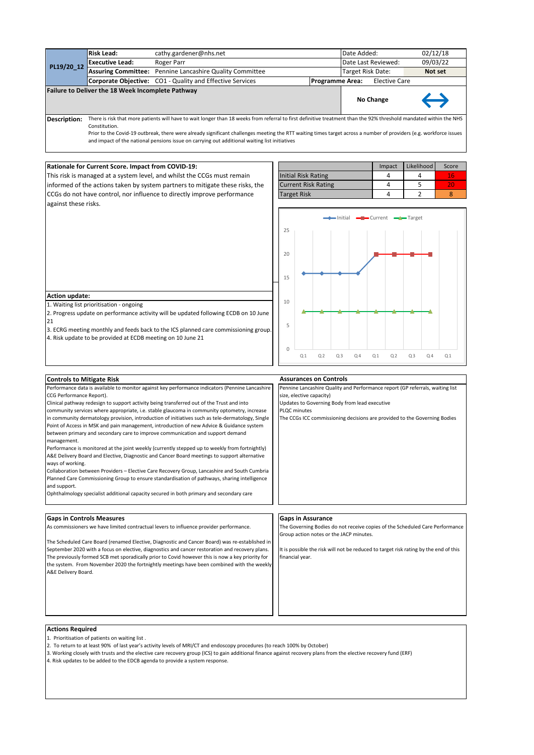|                                                                                                 | <b>Risk Lead:</b>                                           | cathy.gardener@nhs.net                                                                                                                                                                                                                                                                                                                                                                                                                                                                                                                                                                                                                                                                                                                                                                                                                                                                                                                                                                                                                                                     |                                                                                                                                                                                                                                                         |                               |                |                        | Date Added:                             |                         |                      |                | 02/12/18       |                                                                                                                                                                      |
|-------------------------------------------------------------------------------------------------|-------------------------------------------------------------|----------------------------------------------------------------------------------------------------------------------------------------------------------------------------------------------------------------------------------------------------------------------------------------------------------------------------------------------------------------------------------------------------------------------------------------------------------------------------------------------------------------------------------------------------------------------------------------------------------------------------------------------------------------------------------------------------------------------------------------------------------------------------------------------------------------------------------------------------------------------------------------------------------------------------------------------------------------------------------------------------------------------------------------------------------------------------|---------------------------------------------------------------------------------------------------------------------------------------------------------------------------------------------------------------------------------------------------------|-------------------------------|----------------|------------------------|-----------------------------------------|-------------------------|----------------------|----------------|----------------|----------------------------------------------------------------------------------------------------------------------------------------------------------------------|
| PL19/20_12                                                                                      | <b>Executive Lead:</b>                                      | Roger Parr                                                                                                                                                                                                                                                                                                                                                                                                                                                                                                                                                                                                                                                                                                                                                                                                                                                                                                                                                                                                                                                                 |                                                                                                                                                                                                                                                         |                               |                |                        | Date Last Reviewed:                     |                         |                      |                | 09/03/22       |                                                                                                                                                                      |
|                                                                                                 |                                                             | Assuring Committee: Pennine Lancashire Quality Committee                                                                                                                                                                                                                                                                                                                                                                                                                                                                                                                                                                                                                                                                                                                                                                                                                                                                                                                                                                                                                   |                                                                                                                                                                                                                                                         |                               |                |                        | Target Risk Date:                       |                         |                      |                | Not set        |                                                                                                                                                                      |
|                                                                                                 |                                                             | Corporate Objective: CO1 - Quality and Effective Services                                                                                                                                                                                                                                                                                                                                                                                                                                                                                                                                                                                                                                                                                                                                                                                                                                                                                                                                                                                                                  |                                                                                                                                                                                                                                                         |                               |                | <b>Programme Area:</b> |                                         |                         | <b>Elective Care</b> |                |                |                                                                                                                                                                      |
|                                                                                                 | Failure to Deliver the 18 Week Incomplete Pathway           |                                                                                                                                                                                                                                                                                                                                                                                                                                                                                                                                                                                                                                                                                                                                                                                                                                                                                                                                                                                                                                                                            |                                                                                                                                                                                                                                                         |                               |                |                        |                                         | No Change               |                      |                |                |                                                                                                                                                                      |
| Description:                                                                                    | Constitution.                                               | There is risk that more patients will have to wait longer than 18 weeks from referral to first definitive treatment than the 92% threshold mandated within the NHS<br>Prior to the Covid-19 outbreak, there were already significant challenges meeting the RTT waiting times target across a number of providers (e.g. workforce issues<br>and impact of the national pensions issue on carrying out additional waiting list initiatives                                                                                                                                                                                                                                                                                                                                                                                                                                                                                                                                                                                                                                  |                                                                                                                                                                                                                                                         |                               |                |                        |                                         |                         |                      |                |                |                                                                                                                                                                      |
|                                                                                                 | Rationale for Current Score. Impact from COVID-19:          |                                                                                                                                                                                                                                                                                                                                                                                                                                                                                                                                                                                                                                                                                                                                                                                                                                                                                                                                                                                                                                                                            |                                                                                                                                                                                                                                                         |                               |                |                        |                                         |                         | Impact               | Likelihood     |                | Score                                                                                                                                                                |
|                                                                                                 |                                                             | This risk is managed at a system level, and whilst the CCGs must remain                                                                                                                                                                                                                                                                                                                                                                                                                                                                                                                                                                                                                                                                                                                                                                                                                                                                                                                                                                                                    |                                                                                                                                                                                                                                                         | <b>Initial Risk Rating</b>    |                |                        |                                         |                         | 4                    | 4              |                | 16                                                                                                                                                                   |
|                                                                                                 |                                                             | informed of the actions taken by system partners to mitigate these risks, the                                                                                                                                                                                                                                                                                                                                                                                                                                                                                                                                                                                                                                                                                                                                                                                                                                                                                                                                                                                              |                                                                                                                                                                                                                                                         | <b>Current Risk Rating</b>    |                |                        |                                         |                         | 4                    | 5              |                | 20                                                                                                                                                                   |
|                                                                                                 |                                                             |                                                                                                                                                                                                                                                                                                                                                                                                                                                                                                                                                                                                                                                                                                                                                                                                                                                                                                                                                                                                                                                                            |                                                                                                                                                                                                                                                         | <b>Target Risk</b>            |                |                        |                                         |                         | 4                    | $\overline{2}$ |                | 8                                                                                                                                                                    |
| CCGs do not have control, nor influence to directly improve performance<br>against these risks. |                                                             |                                                                                                                                                                                                                                                                                                                                                                                                                                                                                                                                                                                                                                                                                                                                                                                                                                                                                                                                                                                                                                                                            |                                                                                                                                                                                                                                                         |                               |                |                        |                                         |                         |                      |                |                |                                                                                                                                                                      |
|                                                                                                 |                                                             |                                                                                                                                                                                                                                                                                                                                                                                                                                                                                                                                                                                                                                                                                                                                                                                                                                                                                                                                                                                                                                                                            | 25<br>20<br>15                                                                                                                                                                                                                                          |                               |                | $-\mathsf{Initial}$    |                                         | $-\blacksquare$ Current |                      | Target         |                |                                                                                                                                                                      |
| <b>Action update:</b>                                                                           |                                                             |                                                                                                                                                                                                                                                                                                                                                                                                                                                                                                                                                                                                                                                                                                                                                                                                                                                                                                                                                                                                                                                                            |                                                                                                                                                                                                                                                         |                               |                |                        |                                         |                         |                      |                |                |                                                                                                                                                                      |
|                                                                                                 | 1. Waiting list prioritisation - ongoing                    |                                                                                                                                                                                                                                                                                                                                                                                                                                                                                                                                                                                                                                                                                                                                                                                                                                                                                                                                                                                                                                                                            | 10                                                                                                                                                                                                                                                      |                               |                |                        |                                         |                         |                      |                |                |                                                                                                                                                                      |
|                                                                                                 |                                                             | 2. Progress update on performance activity will be updated following ECDB on 10 June                                                                                                                                                                                                                                                                                                                                                                                                                                                                                                                                                                                                                                                                                                                                                                                                                                                                                                                                                                                       |                                                                                                                                                                                                                                                         |                               |                |                        |                                         |                         |                      |                |                |                                                                                                                                                                      |
| 21                                                                                              |                                                             |                                                                                                                                                                                                                                                                                                                                                                                                                                                                                                                                                                                                                                                                                                                                                                                                                                                                                                                                                                                                                                                                            | 5                                                                                                                                                                                                                                                       |                               |                |                        |                                         |                         |                      |                |                |                                                                                                                                                                      |
|                                                                                                 |                                                             | 3. ECRG meeting monthly and feeds back to the ICS planned care commissioning group.                                                                                                                                                                                                                                                                                                                                                                                                                                                                                                                                                                                                                                                                                                                                                                                                                                                                                                                                                                                        |                                                                                                                                                                                                                                                         |                               |                |                        |                                         |                         |                      |                |                |                                                                                                                                                                      |
|                                                                                                 | 4. Risk update to be provided at ECDB meeting on 10 June 21 |                                                                                                                                                                                                                                                                                                                                                                                                                                                                                                                                                                                                                                                                                                                                                                                                                                                                                                                                                                                                                                                                            |                                                                                                                                                                                                                                                         |                               |                |                        |                                         |                         |                      |                |                |                                                                                                                                                                      |
|                                                                                                 |                                                             |                                                                                                                                                                                                                                                                                                                                                                                                                                                                                                                                                                                                                                                                                                                                                                                                                                                                                                                                                                                                                                                                            | $\mathbf 0$                                                                                                                                                                                                                                             |                               |                |                        |                                         |                         |                      |                |                |                                                                                                                                                                      |
|                                                                                                 |                                                             |                                                                                                                                                                                                                                                                                                                                                                                                                                                                                                                                                                                                                                                                                                                                                                                                                                                                                                                                                                                                                                                                            |                                                                                                                                                                                                                                                         | Q <sub>1</sub>                | Q <sub>2</sub> | Q <sub>3</sub>         | Q <sub>4</sub>                          | Q <sub>1</sub>          | Q <sub>2</sub>       | Q3             | Q <sub>4</sub> | Q <sub>1</sub>                                                                                                                                                       |
|                                                                                                 |                                                             |                                                                                                                                                                                                                                                                                                                                                                                                                                                                                                                                                                                                                                                                                                                                                                                                                                                                                                                                                                                                                                                                            |                                                                                                                                                                                                                                                         |                               |                |                        |                                         |                         |                      |                |                |                                                                                                                                                                      |
| <b>Controls to Mitigate Risk</b>                                                                |                                                             |                                                                                                                                                                                                                                                                                                                                                                                                                                                                                                                                                                                                                                                                                                                                                                                                                                                                                                                                                                                                                                                                            |                                                                                                                                                                                                                                                         | <b>Assurances on Controls</b> |                |                        |                                         |                         |                      |                |                |                                                                                                                                                                      |
| CCG Performance Report).<br>management.<br>ways of working.<br>and support.                     |                                                             | Performance data is available to monitor against key performance indicators (Pennine Lancashire<br>Clinical pathway redesign to support activity being transferred out of the Trust and into<br>community services where appropriate, i.e. stable glaucoma in community optometry, increase<br>in community dermatology provision, introduction of initiatives such as tele-dermatology, Single<br>Point of Access in MSK and pain management, introduction of new Advice & Guidance system<br>between primary and secondary care to improve communication and support demand<br>Performance is monitored at the joint weekly (currently stepped up to weekly from fortnightly)<br>A&E Delivery Board and Elective, Diagnostic and Cancer Board meetings to support alternative<br>Collaboration between Providers - Elective Care Recovery Group, Lancashire and South Cumbria<br>Planned Care Commissioning Group to ensure standardisation of pathways, sharing intelligence<br>Ophthalmology specialist additional capacity secured in both primary and secondary care | Pennine Lancashire Quality and Performance report (GP referrals, waiting list<br>size, elective capacity)<br>Updates to Governing Body from lead executive<br>PLQC minutes<br>The CCGs ICC commissioning decisions are provided to the Governing Bodies |                               |                |                        |                                         |                         |                      |                |                |                                                                                                                                                                      |
| <b>Gaps in Controls Measures</b>                                                                |                                                             |                                                                                                                                                                                                                                                                                                                                                                                                                                                                                                                                                                                                                                                                                                                                                                                                                                                                                                                                                                                                                                                                            |                                                                                                                                                                                                                                                         | <b>Gaps in Assurance</b>      |                |                        |                                         |                         |                      |                |                |                                                                                                                                                                      |
|                                                                                                 |                                                             | As commissioners we have limited contractual levers to influence provider performance.<br>The Scheduled Care Board (renamed Elective, Diagnostic and Cancer Board) was re-established in<br>September 2020 with a focus on elective, diagnostics and cancer restoration and recovery plans.<br>The previously formed SCB met sporadically prior to Covid however this is now a key priority for<br>the system. From November 2020 the fortnightly meetings have been combined with the weekly                                                                                                                                                                                                                                                                                                                                                                                                                                                                                                                                                                              |                                                                                                                                                                                                                                                         | financial year.               |                |                        | Group action notes or the JACP minutes. |                         |                      |                |                | The Governing Bodies do not receive copies of the Scheduled Care Performance<br>It is possible the risk will not be reduced to target risk rating by the end of this |
| A&E Delivery Board.                                                                             |                                                             |                                                                                                                                                                                                                                                                                                                                                                                                                                                                                                                                                                                                                                                                                                                                                                                                                                                                                                                                                                                                                                                                            |                                                                                                                                                                                                                                                         |                               |                |                        |                                         |                         |                      |                |                |                                                                                                                                                                      |

- 1. Prioritisation of patients on waiting list .
- 2. To return to at least 90% of last year's activity levels of MRI/CT and endoscopy procedures (to reach 100% by October)
- 3. Working closely with trusts and the elective care recovery group (ICS) to gain additional finance against recovery plans from the elective recovery fund (ERF)

4. Risk updates to be added to the EDCB agenda to provide a system response.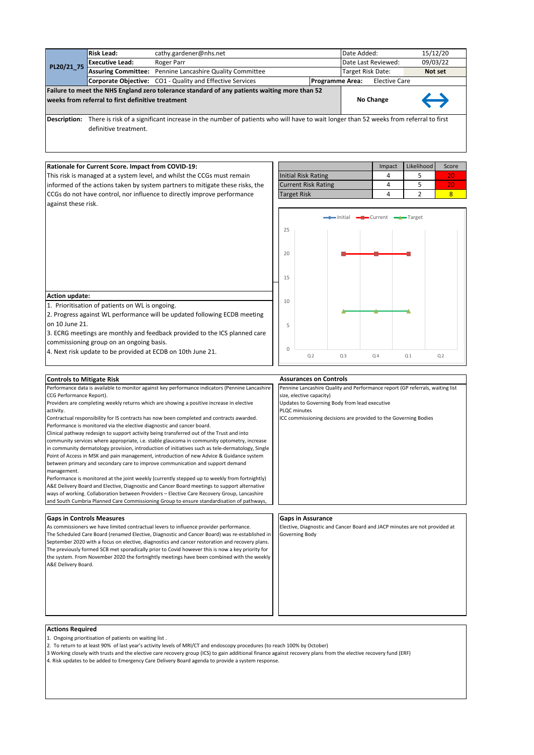|                     | <b>Risk Lead:</b>                                 | cathy.gardener@nhs.net                                                                                                              |                        | Date Added:       |                      | 15/12/20          |
|---------------------|---------------------------------------------------|-------------------------------------------------------------------------------------------------------------------------------------|------------------------|-------------------|----------------------|-------------------|
| PL20/21 75          | <b>Executive Lead:</b>                            | Roger Parr                                                                                                                          |                        |                   | Date Last Reviewed:  | 09/03/22          |
|                     |                                                   | Assuring Committee: Pennine Lancashire Quality Committee                                                                            |                        | Target Risk Date: |                      | Not set           |
|                     |                                                   | <b>Corporate Objective:</b> CO1 - Quality and Effective Services                                                                    | <b>Programme Area:</b> |                   | <b>Elective Care</b> |                   |
|                     | weeks from referral to first definitive treatment | Failure to meet the NHS England zero tolerance standard of any patients waiting more than 52                                        |                        |                   | No Change            | $\leftrightarrow$ |
| <b>Description:</b> | definitive treatment.                             | There is risk of a significant increase in the number of patients who will have to wait longer than 52 weeks from referral to first |                        |                   |                      |                   |

# **Rationale for Current Score. Impact from COVID-19:**

This risk is managed at a system level, and whilst the CCGs must remain informed of the actions taken by system partners to mitigate these risks, the CCGs do not have control, nor influence to directly improve performance against these risk.

|                            | Impact | Likelihood | Score |
|----------------------------|--------|------------|-------|
| <b>Initial Risk Rating</b> |        |            |       |
| <b>Current Risk Rating</b> |        |            |       |
| <b>Target Risk</b>         |        |            |       |



## **Action update:**

1. Prioritisation of patients on WL is ongoing.

2. Progress against WL performance will be updated following ECDB meeting on 10 June 21.

3. ECRG meetings are monthly and feedback provided to the ICS planned care

commissioning group on an ongoing basis.

4. Next risk update to be provided at ECDB on 10th June 21.

#### **Controls to Mitigate Risk**

Performance data is available to monitor against key performance indicators (Pennine Lancashire CCG Performance Report).

Providers are completing weekly returns which are showing a positive increase in elective activity.

Contractual responsibility for IS contracts has now been completed and contracts awarded. Performance is monitored via the elective diagnostic and cancer board.

Clinical pathway redesign to support activity being transferred out of the Trust and into

community services where appropriate, i.e. stable glaucoma in community optometry, increase in community dermatology provision, introduction of initiatives such as tele-dermatology, Single Point of Access in MSK and pain management, introduction of new Advice & Guidance system between primary and secondary care to improve communication and support demand management.

Performance is monitored at the joint weekly (currently stepped up to weekly from fortnightly) A&E Delivery Board and Elective, Diagnostic and Cancer Board meetings to support alternative ways of working. Collaboration between Providers – Elective Care Recovery Group, Lancashire and South Cumbria Planned Care Commissioning Group to ensure standardisation of pathways

# **Gaps in Controls Measures Gaps in Assurance**

As commissioners we have limited contractual levers to influence provider performance. The Scheduled Care Board (renamed Elective, Diagnostic and Cancer Board) was re-established in September 2020 with a focus on elective, diagnostics and cancer restoration and recovery plans. The previously formed SCB met sporadically prior to Covid however this is now a key priority for the system. From November 2020 the fortnightly meetings have been combined with the weekly A&E Delivery Board.

#### **Assurances on Controls**

Pennine Lancashire Quality and Performance report (GP referrals, waiting list size, elective capacity)

Updates to Governing Body from lead executive PLQC minutes

ICC commissioning decisions are provided to the Governing Bodies

Elective, Diagnostic and Cancer Board and JACP minutes are not provided at Governing Body

#### **Actions Required**

- 1. Ongoing prioritisation of patients on waiting list .
- 2. To return to at least 90% of last year's activity levels of MRI/CT and endoscopy procedures (to reach 100% by October)
- 3 Working closely with trusts and the elective care recovery group (ICS) to gain additional finance against recovery plans from the elective recovery fund (ERF)
- 4. Risk updates to be added to Emergency Care Delivery Board agenda to provide a system response.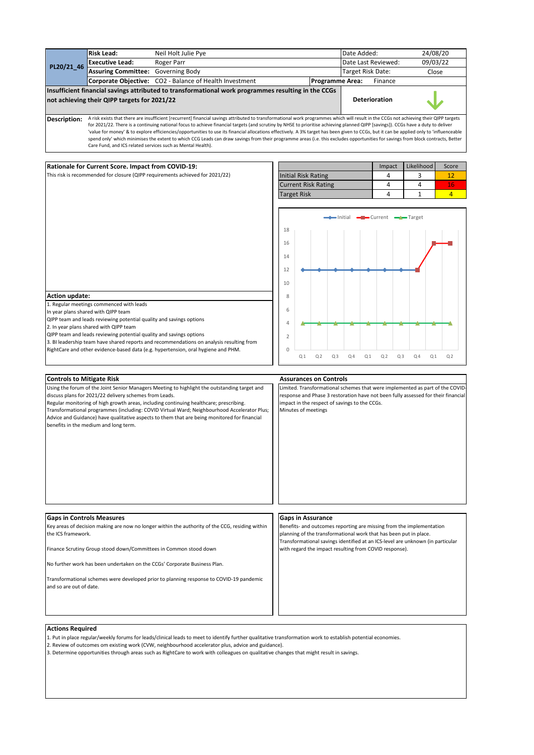|                                                        | <b>Risk Lead:</b>                                                                               | Neil Holt Julie Pye                                                                                                                                                                                                                                                                                                                                                                                                                                                                                                                                                                                                                                                                                                                                        |                |                                                                                    |                |    | Date Added:            |                      |                |                |                                                                                                                                           | 24/08/20       |                                                                                   |  |
|--------------------------------------------------------|-------------------------------------------------------------------------------------------------|------------------------------------------------------------------------------------------------------------------------------------------------------------------------------------------------------------------------------------------------------------------------------------------------------------------------------------------------------------------------------------------------------------------------------------------------------------------------------------------------------------------------------------------------------------------------------------------------------------------------------------------------------------------------------------------------------------------------------------------------------------|----------------|------------------------------------------------------------------------------------|----------------|----|------------------------|----------------------|----------------|----------------|-------------------------------------------------------------------------------------------------------------------------------------------|----------------|-----------------------------------------------------------------------------------|--|
| PL20/21_46                                             | <b>Executive Lead:</b>                                                                          | Roger Parr                                                                                                                                                                                                                                                                                                                                                                                                                                                                                                                                                                                                                                                                                                                                                 |                |                                                                                    |                |    | Date Last Reviewed:    |                      |                |                |                                                                                                                                           | 09/03/22       |                                                                                   |  |
|                                                        | Assuring Committee: Governing Body                                                              |                                                                                                                                                                                                                                                                                                                                                                                                                                                                                                                                                                                                                                                                                                                                                            |                |                                                                                    |                |    | Target Risk Date:      |                      |                |                |                                                                                                                                           | Close          |                                                                                   |  |
|                                                        |                                                                                                 | Corporate Objective: CO2 - Balance of Health Investment                                                                                                                                                                                                                                                                                                                                                                                                                                                                                                                                                                                                                                                                                                    |                |                                                                                    |                |    | <b>Programme Area:</b> |                      | Finance        |                |                                                                                                                                           |                |                                                                                   |  |
|                                                        | not achieving their QIPP targets for 2021/22                                                    | Insufficient financial savings attributed to transformational work programmes resulting in the CCGs                                                                                                                                                                                                                                                                                                                                                                                                                                                                                                                                                                                                                                                        |                |                                                                                    |                |    |                        | <b>Deterioration</b> |                |                |                                                                                                                                           |                |                                                                                   |  |
| Description:                                           | Care Fund, and ICS related services such as Mental Health).                                     | A risk exists that there are insufficient [recurrent] financial savings attributed to transformational work programmes which will result in the CCGs not achieving their QIPP targets<br>for 2021/22. There is a continuing national focus to achieve financial targets (and scrutiny by NHSE to prioritise achieving planned QIPP [savings]). CCGs have a duty to deliver<br>'value for money' & to explore efficiencies/opportunities to use its financial allocations effectively. A 3% target has been given to CCGs, but it can be applied only to 'influenceable<br>spend only' which minimises the extent to which CCG Leads can draw savings from their programme areas (i.e. this excludes opportunities for savings from block contracts, Better |                |                                                                                    |                |    |                        |                      |                |                |                                                                                                                                           |                |                                                                                   |  |
|                                                        |                                                                                                 |                                                                                                                                                                                                                                                                                                                                                                                                                                                                                                                                                                                                                                                                                                                                                            |                |                                                                                    |                |    |                        |                      |                |                |                                                                                                                                           |                |                                                                                   |  |
|                                                        | Rationale for Current Score. Impact from COVID-19:                                              |                                                                                                                                                                                                                                                                                                                                                                                                                                                                                                                                                                                                                                                                                                                                                            |                |                                                                                    |                |    |                        |                      | Impact         |                | Likelihood                                                                                                                                |                | Score                                                                             |  |
|                                                        |                                                                                                 | This risk is recommended for closure (QIPP requirements achieved for 2021/22)                                                                                                                                                                                                                                                                                                                                                                                                                                                                                                                                                                                                                                                                              |                | <b>Initial Risk Rating</b>                                                         |                |    |                        |                      | 4              |                | 3                                                                                                                                         |                | 12                                                                                |  |
|                                                        |                                                                                                 |                                                                                                                                                                                                                                                                                                                                                                                                                                                                                                                                                                                                                                                                                                                                                            |                | <b>Current Risk Rating</b>                                                         |                |    |                        |                      | 4              |                | 4                                                                                                                                         |                | 16                                                                                |  |
|                                                        |                                                                                                 |                                                                                                                                                                                                                                                                                                                                                                                                                                                                                                                                                                                                                                                                                                                                                            |                | <b>Target Risk</b>                                                                 |                |    |                        |                      | 4              |                | 1                                                                                                                                         |                | $\overline{4}$                                                                    |  |
|                                                        |                                                                                                 |                                                                                                                                                                                                                                                                                                                                                                                                                                                                                                                                                                                                                                                                                                                                                            |                |                                                                                    |                |    |                        |                      |                |                | → Initial →■ Current →←Target                                                                                                             |                |                                                                                   |  |
|                                                        |                                                                                                 |                                                                                                                                                                                                                                                                                                                                                                                                                                                                                                                                                                                                                                                                                                                                                            | 18             |                                                                                    |                |    |                        |                      |                |                |                                                                                                                                           |                |                                                                                   |  |
|                                                        |                                                                                                 |                                                                                                                                                                                                                                                                                                                                                                                                                                                                                                                                                                                                                                                                                                                                                            | 16             |                                                                                    |                |    |                        |                      |                |                |                                                                                                                                           |                |                                                                                   |  |
|                                                        |                                                                                                 |                                                                                                                                                                                                                                                                                                                                                                                                                                                                                                                                                                                                                                                                                                                                                            | 14             |                                                                                    |                |    |                        |                      |                |                |                                                                                                                                           |                |                                                                                   |  |
|                                                        |                                                                                                 |                                                                                                                                                                                                                                                                                                                                                                                                                                                                                                                                                                                                                                                                                                                                                            | 12             |                                                                                    |                |    |                        |                      |                |                |                                                                                                                                           |                |                                                                                   |  |
|                                                        |                                                                                                 |                                                                                                                                                                                                                                                                                                                                                                                                                                                                                                                                                                                                                                                                                                                                                            | 10             |                                                                                    |                |    |                        |                      |                |                |                                                                                                                                           |                |                                                                                   |  |
| <b>Action update:</b>                                  | 1. Regular meetings commenced with leads                                                        |                                                                                                                                                                                                                                                                                                                                                                                                                                                                                                                                                                                                                                                                                                                                                            | 8              |                                                                                    |                |    |                        |                      |                |                |                                                                                                                                           |                |                                                                                   |  |
|                                                        | In year plans shared with QIPP team                                                             |                                                                                                                                                                                                                                                                                                                                                                                                                                                                                                                                                                                                                                                                                                                                                            | 6              |                                                                                    |                |    |                        |                      |                |                |                                                                                                                                           |                |                                                                                   |  |
|                                                        | QIPP team and leads reviewing potential quality and savings options                             |                                                                                                                                                                                                                                                                                                                                                                                                                                                                                                                                                                                                                                                                                                                                                            | $\overline{4}$ |                                                                                    |                |    |                        |                      |                |                |                                                                                                                                           |                |                                                                                   |  |
|                                                        | 2. In year plans shared with QIPP team                                                          |                                                                                                                                                                                                                                                                                                                                                                                                                                                                                                                                                                                                                                                                                                                                                            |                |                                                                                    |                |    |                        |                      |                |                |                                                                                                                                           |                |                                                                                   |  |
|                                                        | QIPP team and leads reviewing potential quality and savings options                             | 3. BI leadership team have shared reports and recommendations on analysis resulting from                                                                                                                                                                                                                                                                                                                                                                                                                                                                                                                                                                                                                                                                   | $\overline{2}$ |                                                                                    |                |    |                        |                      |                |                |                                                                                                                                           |                |                                                                                   |  |
|                                                        |                                                                                                 | RightCare and other evidence-based data (e.g. hypertension, oral hygiene and PHM.                                                                                                                                                                                                                                                                                                                                                                                                                                                                                                                                                                                                                                                                          | $\mathbf 0$    |                                                                                    |                |    |                        |                      |                |                |                                                                                                                                           |                |                                                                                   |  |
|                                                        |                                                                                                 |                                                                                                                                                                                                                                                                                                                                                                                                                                                                                                                                                                                                                                                                                                                                                            |                | Q <sub>1</sub>                                                                     | Q <sub>2</sub> | Q3 | Q <sub>4</sub>         | Q <sub>1</sub>       | Q <sub>2</sub> | Q <sub>3</sub> | Q <sub>4</sub>                                                                                                                            | Q <sub>1</sub> | Q <sub>2</sub>                                                                    |  |
|                                                        |                                                                                                 |                                                                                                                                                                                                                                                                                                                                                                                                                                                                                                                                                                                                                                                                                                                                                            |                | <b>Assurances on Controls</b>                                                      |                |    |                        |                      |                |                |                                                                                                                                           |                |                                                                                   |  |
| <b>Controls to Mitigate Risk</b>                       |                                                                                                 | Using the forum of the Joint Senior Managers Meeting to highlight the outstanding target and                                                                                                                                                                                                                                                                                                                                                                                                                                                                                                                                                                                                                                                               |                |                                                                                    |                |    |                        |                      |                |                |                                                                                                                                           |                | Limited. Transformational schemes that were implemented as part of the COVID-     |  |
|                                                        | discuss plans for 2021/22 delivery schemes from Leads.<br>benefits in the medium and long term. | Regular monitoring of high growth areas, including continuing healthcare; prescribing.<br>Transformational programmes (including: COVID Virtual Ward; Neighbourhood Accelerator Plus;<br>Advice and Guidance) have qualitative aspects to them that are being monitored for financial                                                                                                                                                                                                                                                                                                                                                                                                                                                                      |                | impact in the respect of savings to the CCGs.<br>Minutes of meetings               |                |    |                        |                      |                |                |                                                                                                                                           |                | response and Phase 3 restoration have not been fully assessed for their financial |  |
|                                                        |                                                                                                 |                                                                                                                                                                                                                                                                                                                                                                                                                                                                                                                                                                                                                                                                                                                                                            |                |                                                                                    |                |    |                        |                      |                |                |                                                                                                                                           |                |                                                                                   |  |
| <b>Gaps in Controls Measures</b><br>the ICS framework. |                                                                                                 | Key areas of decision making are now no longer within the authority of the CCG, residing within<br>Finance Scrutiny Group stood down/Committees in Common stood down                                                                                                                                                                                                                                                                                                                                                                                                                                                                                                                                                                                       |                | <b>Gaps in Assurance</b><br>with regard the impact resulting from COVID response). |                |    |                        |                      |                |                | Benefits- and outcomes reporting are missing from the implementation<br>planning of the transformational work that has been put in place. |                | Transformational savings identified at an ICS-level are unknown (in particular    |  |
|                                                        |                                                                                                 | No further work has been undertaken on the CCGs' Corporate Business Plan.                                                                                                                                                                                                                                                                                                                                                                                                                                                                                                                                                                                                                                                                                  |                |                                                                                    |                |    |                        |                      |                |                |                                                                                                                                           |                |                                                                                   |  |
| and so are out of date.                                |                                                                                                 | Transformational schemes were developed prior to planning response to COVID-19 pandemic                                                                                                                                                                                                                                                                                                                                                                                                                                                                                                                                                                                                                                                                    |                |                                                                                    |                |    |                        |                      |                |                |                                                                                                                                           |                |                                                                                   |  |
|                                                        |                                                                                                 |                                                                                                                                                                                                                                                                                                                                                                                                                                                                                                                                                                                                                                                                                                                                                            |                |                                                                                    |                |    |                        |                      |                |                |                                                                                                                                           |                |                                                                                   |  |

1. Put in place regular/weekly forums for leads/clinical leads to meet to identify further qualitative transformation work to establish potential economies.

2. Review of outcomes om existing work (CVW, neighbourhood accelerator plus, advice and guidance).

3. Determine opportunities through areas such as RightCare to work with colleagues on qualitative changes that might result in savings.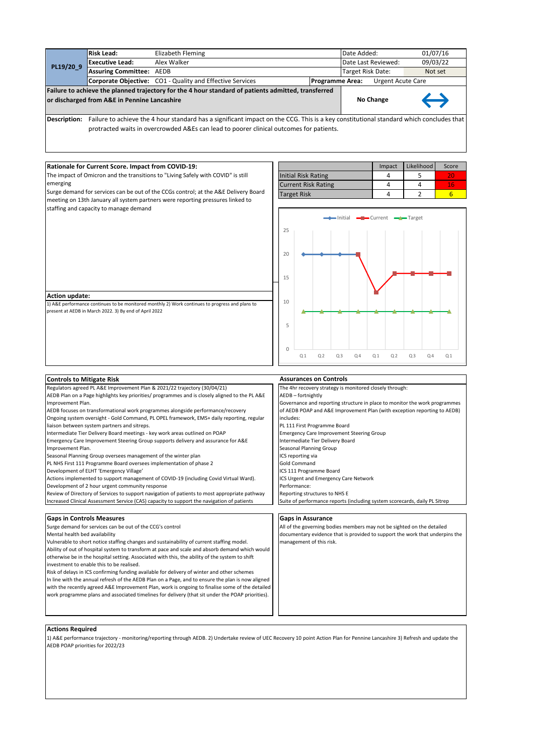|           | or discharged from A&E in Pennine Lancashire | Failure to achieve the planned trajectory for the 4 hour standard of patients admitted, transferred<br>Becombinations - Pottografic and a high and contract the Moore to come of the PAP. This to a home constructional conditional construction and then |                        | No Change                | $\leftrightarrow$ |
|-----------|----------------------------------------------|-----------------------------------------------------------------------------------------------------------------------------------------------------------------------------------------------------------------------------------------------------------|------------------------|--------------------------|-------------------|
|           |                                              | <b>Corporate Objective:</b> CO1 - Quality and Effective Services                                                                                                                                                                                          | <b>Programme Area:</b> | <b>Urgent Acute Care</b> |                   |
| PL19/20 9 | <b>Assuring Committee: AEDB</b>              |                                                                                                                                                                                                                                                           | Target Risk Date:      |                          | Not set           |
|           | Executive Lead:                              | Alex Walker                                                                                                                                                                                                                                               | Date Last Reviewed:    |                          | 09/03/22          |
|           | <b>Risk Lead:</b>                            | Elizabeth Fleming                                                                                                                                                                                                                                         |                        | Date Added:              | 01/07/16          |

Description: Failure to achieve the 4 hour standard has a significant impact on the CCG. This is a key constitutional standard which concludes that protracted waits in overcrowded A&Es can lead to poorer clinical outcomes for patients.

## **Rationale for Current Score. Impact from COVID-19:**

The impact of Omicron and the transitions to "Living Safely with COVID" is still emerging

Surge demand for services can be out of the CCGs control; at the A&E Delivery Board meeting on 13th January all system partners were reporting pressures linked to staffing and capacity to manage demand

|                            | Impact | Likelihood | Score |
|----------------------------|--------|------------|-------|
| <b>Initial Risk Rating</b> |        |            |       |
| <b>Current Risk Rating</b> |        |            |       |
| <b>Target Risk</b>         |        |            |       |



#### **Action update:**

1) A&E performance continues to be monitored monthly 2) Work continues to progress and plans to present at AEDB in March 2022. 3) By end of April 2022



# **Actions Required**

1) A&E performance trajectory - monitoring/reporting through AEDB. 2) Undertake review of UEC Recovery 10 point Action Plan for Pennine Lancashire 3) Refresh and update the AEDB POAP priorities for 2022/23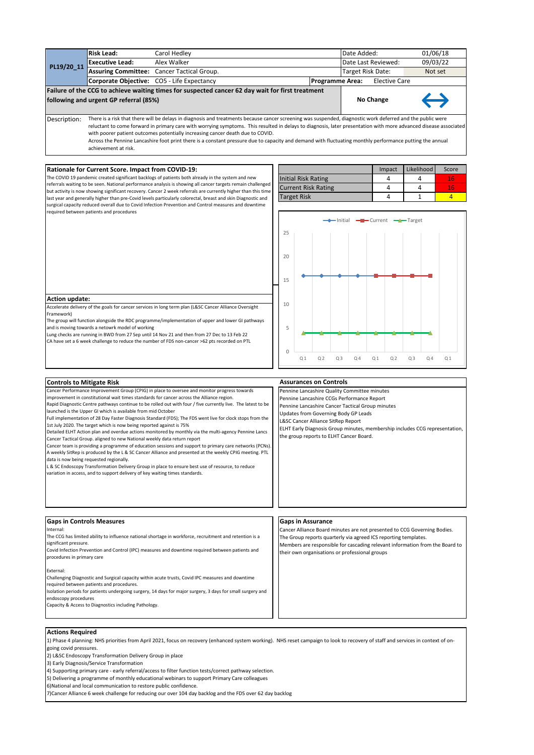| <b>Risk Lead:</b> |                                        | Carol Hedley                                                                                                                                                                                                                                                                                                                                                                                                                                                                                                                                                                 |                        | Date Added:       |                      | 01/06/18          |
|-------------------|----------------------------------------|------------------------------------------------------------------------------------------------------------------------------------------------------------------------------------------------------------------------------------------------------------------------------------------------------------------------------------------------------------------------------------------------------------------------------------------------------------------------------------------------------------------------------------------------------------------------------|------------------------|-------------------|----------------------|-------------------|
| PL19/20 11        | <b>Executive Lead:</b>                 | Alex Walker                                                                                                                                                                                                                                                                                                                                                                                                                                                                                                                                                                  |                        |                   | Date Last Reviewed:  | 09/03/22          |
|                   |                                        | Assuring Committee: Cancer Tactical Group.                                                                                                                                                                                                                                                                                                                                                                                                                                                                                                                                   |                        | Target Risk Date: |                      | Not set           |
|                   |                                        | Corporate Objective: CO5 - Life Expectancy                                                                                                                                                                                                                                                                                                                                                                                                                                                                                                                                   | <b>Programme Area:</b> |                   | <b>Elective Care</b> |                   |
|                   | following and urgent GP referral (85%) | Failure of the CCG to achieve waiting times for suspected cancer 62 day wait for first treatment                                                                                                                                                                                                                                                                                                                                                                                                                                                                             |                        |                   | No Change            | $\hookrightarrow$ |
| Description:      | achievement at risk.                   | There is a risk that there will be delays in diagnosis and treatments because cancer screening was suspended, diagnostic work deferred and the public were<br>reluctant to come forward in primary care with worrying symptoms. This resulted in delays to diagnosis, later presentation with more advanced disease associated<br>with poorer patient outcomes potentially increasing cancer death due to COVID.<br>Across the Pennine Lancashire foot print there is a constant pressure due to capacity and demand with fluctuating monthly performance putting the annual |                        |                   |                      |                   |

#### **Rationale for Current Score. Impact from COVID-19:**

The COVID 19 pandemic created significant backlogs of patients both already in the system and new referrals waiting to be seen. National performance analysis is showing all cancer targets remain challenged but activity is now showing significant recovery. Cancer 2 week referrals are currently higher than this time last year and generally higher than pre-Covid levels particularly colorectal, breast and skin Diagnostic and surgical capacity reduced overall due to Covid Infection Prevention and Control measures and downtime required between patients and procedures

|                            | Impact | <b>Likelihood</b> | Score |
|----------------------------|--------|-------------------|-------|
| Initial Risk Rating        |        |                   |       |
| <b>Current Risk Rating</b> |        |                   |       |
| <b>Target Risk</b>         |        |                   |       |



## **Action update:**

Accelerate delivery of the goals for cancer services in long term plan (L&SC Cancer Alliance Oversight Framework)

The group will function alongside the RDC programme/implementation of upper and lower GI pathways and is moving towards a netowrk model of working

Lung checks are running in BWD from 27 Sep until 14 Nov 21 and then from 27 Dec to 13 Feb 22 CA have set a 6 week challenge to reduce the number of FDS non-cancer >62 pts recorded on PTL

| <b>Controls to Mitigate Risk</b>                                                                                                                                                                                                                                                                                                                                                                                                                                                                                                                                                                                                                                                                                                                                                                                                                                                                                                                                                                                                                                                                                                                                                                          | <b>Assurances on Controls</b>                                                                                                                                                                                                                                                                                                                          |
|-----------------------------------------------------------------------------------------------------------------------------------------------------------------------------------------------------------------------------------------------------------------------------------------------------------------------------------------------------------------------------------------------------------------------------------------------------------------------------------------------------------------------------------------------------------------------------------------------------------------------------------------------------------------------------------------------------------------------------------------------------------------------------------------------------------------------------------------------------------------------------------------------------------------------------------------------------------------------------------------------------------------------------------------------------------------------------------------------------------------------------------------------------------------------------------------------------------|--------------------------------------------------------------------------------------------------------------------------------------------------------------------------------------------------------------------------------------------------------------------------------------------------------------------------------------------------------|
| Cancer Performance Improvement Group (CPIG) in place to oversee and monitor progress towards<br>improvement in constitutional wait times standards for cancer across the Alliance region.<br>Rapid Diagnostic Centre pathways continue to be rolled out with four / five currently live. The latest to be<br>launched is the Upper GI which is available from mid October<br>Full implementation of 28 Day Faster Diagnosis Standard (FDS); The FDS went live for clock stops from the<br>1st July 2020. The target which is now being reported against is 75%<br>Detailed ELHT Action plan and overdue actions monitored by monthly via the multi-agency Pennine Lancs<br>Cancer Tactical Group. aligned to new National weekly data return report<br>Cancer team is providing a programme of education sessions and support to primary care networks (PCNs).<br>A weekly SitRep is produced by the L & SC Cancer Alliance and presented at the weekly CPIG meeting. PTL<br>data is now being requested regionally.<br>L & SC Endoscopy Transformation Delivery Group in place to ensure best use of resource, to reduce<br>variation in access, and to support delivery of key waiting times standards. | Pennine Lancashire Quality Committee minutes<br>Pennine Lancashire CCGs Performance Report<br>Pennine Lancashire Cancer Tactical Group minutes<br>Updates from Governing Body GP Leads<br>L&SC Cancer Alliance SitRep Report<br>ELHT Early Diagnosis Group minutes, membership includes CCG representation,<br>the group reports to ELHT Cancer Board. |
| <b>Gaps in Controls Measures</b><br>Internal:<br>The CCG has limited ability to influence national shortage in workforce, recruitment and retention is a<br>significant pressure.<br>Covid Infection Prevention and Control (IPC) measures and downtime required between patients and<br>procedures in primary care<br>External:<br>Challenging Diagnostic and Surgical capacity within acute trusts, Covid IPC measures and downtime<br>required between patients and procedures.<br>Isolation periods for patients undergoing surgery, 14 days for major surgery, 3 days for small surgery and<br>endoscopy procedures<br>Capacity & Access to Diagnostics including Pathology.                                                                                                                                                                                                                                                                                                                                                                                                                                                                                                                         | <b>Gaps in Assurance</b><br>Cancer Alliance Board minutes are not presented to CCG Governing Bodies.<br>The Group reports quarterly via agreed ICS reporting templates.<br>Members are responsible for cascading relevant information from the Board to<br>their own organisations or professional groups                                              |

# **Actions Required**

1) Phase 4 planning: NHS priorities from April 2021, focus on recovery (enhanced system working). NHS reset campaign to look to recovery of staff and services in context of ongoing covid pressures.

2) L&SC Endoscopy Transformation Delivery Group in place

3) Early Diagnosis/Service Transformation

4) Supporting primary care - early referral/access to filter function tests/correct pathway selection.

5) Delivering a programme of monthly educational webinars to support Primary Care colleagues

6)National and local communication to restore public confidence.

7)Cancer Alliance 6 week challenge for reducing our over 104 day backlog and the FDS over 62 day backlog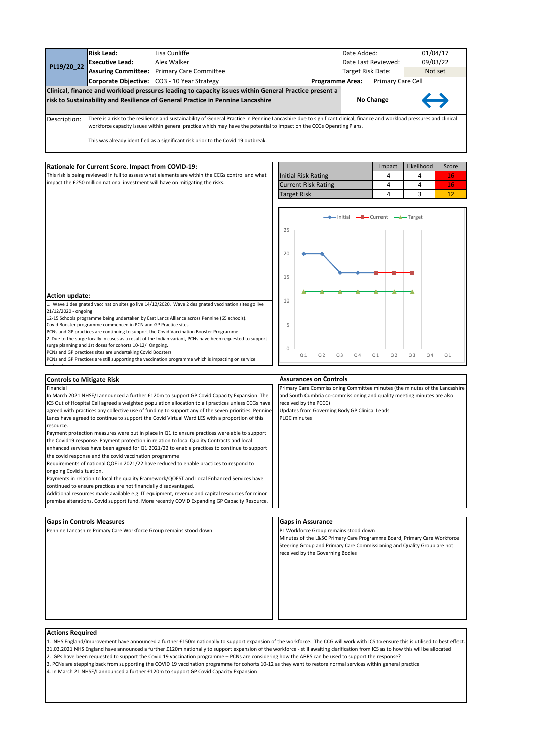|              | <b>Risk Lead:</b>                                                                                                                                                       | Lisa Cunliffe                                                                                         |                        | Date Added:       |                     | 01/04/17          |  |
|--------------|-------------------------------------------------------------------------------------------------------------------------------------------------------------------------|-------------------------------------------------------------------------------------------------------|------------------------|-------------------|---------------------|-------------------|--|
| PL19/20 22   | <b>Executive Lead:</b>                                                                                                                                                  | Alex Walker                                                                                           |                        |                   | Date Last Reviewed: | 09/03/22          |  |
|              |                                                                                                                                                                         | <b>Assuring Committee: Primary Care Committee</b>                                                     |                        | Target Risk Date: |                     | Not set           |  |
|              |                                                                                                                                                                         | Corporate Objective: CO3 - 10 Year Strategy                                                           | <b>Programme Area:</b> |                   | Primary Care Cell   |                   |  |
|              |                                                                                                                                                                         | Clinical, finance and workload pressures leading to capacity issues within General Practice present a |                        |                   |                     |                   |  |
|              |                                                                                                                                                                         | risk to Sustainability and Resilience of General Practice in Pennine Lancashire                       |                        |                   | No Change           | $\leftrightarrow$ |  |
|              |                                                                                                                                                                         |                                                                                                       |                        |                   |                     |                   |  |
| Description: | There is a risk to the resilience and sustainability of General Practice in Pennine Lancashire due to significant clinical, finance and workload pressures and clinical |                                                                                                       |                        |                   |                     |                   |  |

workforce capacity issues within general practice which may have the potential to impact on the CCGs Operating Plans.

This was already identified as a significant risk prior to the Covid 19 outbreak.

## **Rationale for Current Score. Impact from COVID-19:**

This risk is being reviewed in full to assess what elements are within the CCGs control and what impact the £250 million national investment will have on mitigating the risks.

|                            | Impact | Likelihood | Score |
|----------------------------|--------|------------|-------|
| Initial Risk Rating        |        |            |       |
| <b>Current Risk Rating</b> |        |            |       |
| <b>Target Risk</b>         |        |            |       |



#### **Action update:**

**Controls to Mitigate Risk**

Financial

restoration.

resource.

1. Wave 1 designated vaccination sites go live 14/12/2020. Wave 2 designated vaccination sites go live 21/12/2020 - ongoing

12-15 Schools programme being undertaken by East Lancs Alliance across Pennine (65 schools).

Covid Booster programme commenced in PCN and GP Practice sites

PCNs and GP practices are continuing to support the Covid Vaccination Booster Programme.

2. Due to the surge locally in cases as a result of the Indian variant, PCNs have been requested to support surge planning and 1st doses for cohorts 10-12/ Ongoing.

In March 2021 NHSE/I announced a further £120m to support GP Covid Capacity Expansion. The ICS Out of Hospital Cell agreed a weighted population allocation to all practices unless CCGs have agreed with practices any collective use of funding to support any of the seven priorities. Penning Lancs have agreed to continue to support the Covid Virtual Ward LES with a proportion of this

Payment protection measures were put in place in Q1 to ensure practices were able to support

PCNs and GP practices sites are undertaking Covid Boosters

PCNs and GP Practices are still supporting the vaccination programme which is impacting on service

#### **Assurances on Controls**

Primary Care Commissioning Committee minutes (the minutes of the Lancashire and South Cumbria co-commissioning and quality meeting minutes are also received by the PCCC)

Updates from Governing Body GP Clinical Leads PLQC minutes

#### the Covid19 response. Payment protection in relation to local Quality Contracts and local enhanced services have been agreed for Q1 2021/22 to enable practices to continue to support

the covid response and the covid vaccination programme

Requirements of national QOF in 2021/22 have reduced to enable practices to respond to ongoing Covid situation.

Payments in relation to local the quality Framework/QOEST and Local Enhanced Services have continued to ensure practices are not financially disadvantaged.

Additional resources made available e.g. IT equipment, revenue and capital resources for minor premise alterations, Covid support fund. More recently COVID Expanding GP Capacity Resource.

#### **Gaps in Controls Measures Gaps in Assurance**

Pennine Lancashire Primary Care Workforce Group remains stood down. PL Workforce Group remains stood down

Minutes of the L&SC Primary Care Programme Board, Primary Care Workforce Steering Group and Primary Care Commissioning and Quality Group are not received by the Governing Bodies

#### **Actions Required**

- 1. NHS England/Improvement have announced a further £150m nationally to support expansion of the workforce. The CCG will work with ICS to ensure this is utilised to best effect. 31.03.2021 NHS England have announced a further £120m nationally to support expansion of the workforce - still awaiting clarification from ICS as to how this will be allocated
- 2. GPs have been requested to support the Covid 19 vaccination programme PCNs are considering how the ARRS can be used to support the response?
- 3. PCNs are stepping back from supporting the COVID 19 vaccination programme for cohorts 10-12 as they want to restore normal services within general practice
- 4. In March 21 NHSE/I announced a further £120m to support GP Covid Capacity Expansion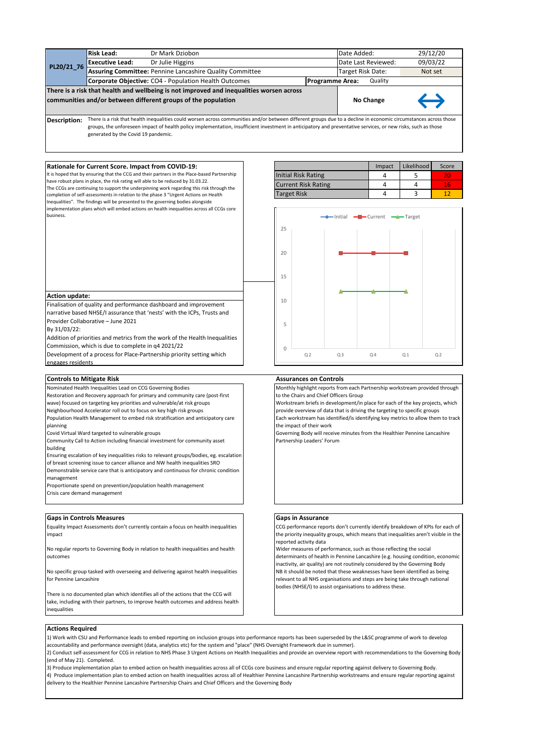|            | There is a risk that health and wellbeing is not improved and inequalities worsen across<br>communities and/or between different groups of the population | No Change                                                       | $\leftrightarrow$                 |          |  |  |  |  |
|------------|-----------------------------------------------------------------------------------------------------------------------------------------------------------|-----------------------------------------------------------------|-----------------------------------|----------|--|--|--|--|
|            |                                                                                                                                                           | Corporate Objective: CO4 - Population Health Outcomes           | Quality<br><b>Programme Area:</b> |          |  |  |  |  |
|            |                                                                                                                                                           | <b>Assuring Committee: Pennine Lancashire Quality Committee</b> | Target Risk Date:                 | Not set  |  |  |  |  |
| PL20/21_76 | <b>Executive Lead:</b>                                                                                                                                    | Dr Julie Higgins                                                | Date Last Reviewed:               | 09/03/22 |  |  |  |  |
|            | <b>Risk Lead:</b>                                                                                                                                         | Dr Mark Dziobon                                                 | Date Added:                       | 29/12/20 |  |  |  |  |

**Description:** There is a risk that health inequalities could worsen across communities and/or between different groups due to a decline in economic circumstances across those groups, the unforeseen impact of health policy implementation, insufficient investment in anticipatory and preventative services, or new risks, such as those generated by the Covid 19 pandemic.

#### **Rationale for Current Score. Impact from COVID-19:**

It is hoped that by ensuring that the CCG and their partners in the Place-based Partnership have robust plans in place, the risk rating will able to be reduced by 31.03.22. The CCGs are continuing to support the underpinning work regarding this risk through the completion of self-assessments in relation to the phase 3 "Urgent Actions on Health Inequalities". The findings will be presented to the governing bodies alongside mplementation plans which will embed actions on health inequalities across all CCGs core business.

|                            | Impact | Likelihood | Score |
|----------------------------|--------|------------|-------|
| <b>Initial Risk Rating</b> |        |            |       |
| <b>Current Risk Rating</b> |        |            |       |
| <b>Target Risk</b>         |        |            |       |



outcomes

No specific group tasked with overseeing and delivering against health inequalities for Pennine Lancashire

There is no documented plan which identifies all of the actions that the CCG will take, including with their partners, to improve health outcomes and address health inequalities

Wider measures of performance, such as those reflecting the social determinants of health in Pennine Lancashire (e.g. housing condition, economic inactivity, air quality) are not routinely considered by the Governing Body NB it should be noted that these weaknesses have been identified as being relevant to all NHS organisations and steps are being take through national bodies (NHSE/I) to assist organisations to address these.

#### **Actions Required**

1) Work with CSU and Performance leads to embed reporting on inclusion groups into performance reports has been superseded by the L&SC programme of work to develop accountability and performance oversight (data, analytics etc) for the system and "place" (NHS Oversight Framework due in summer).

2) Conduct self-assessment for CCG in relation to NHS Phase 3 Urgent Actions on Health Inequalities and provide an overview report with recommendations to the Governing Body (end of May 21). Completed.

3) Produce implementation plan to embed action on health inequalities across all of CCGs core business and ensure regular reporting against delivery to Governing Body. 4) Produce implementation plan to embed action on health inequalities across all of Healthier Pennine Lancashire Partnership workstreams and ensure regular reporting against delivery to the Healthier Pennine Lancashire Partnership Chairs and Chief Officers and the Governing Body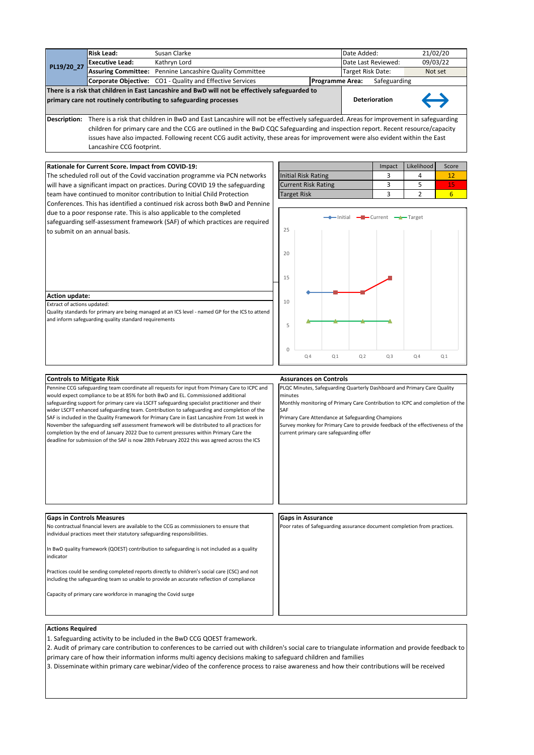|                                                                                                                                                                                                                                                                                                                                                                                                                                                                                                                                                                                                                                                                                                                                                                              | <b>Risk Lead:</b><br>Susan Clarke                              |                                                                                                                                                                                                                                                                                                                                                                                                                     |  |                    |                                                          |                               |                                         |                                                   |                                                                                                                                                                 | 21/02/20              |  |
|------------------------------------------------------------------------------------------------------------------------------------------------------------------------------------------------------------------------------------------------------------------------------------------------------------------------------------------------------------------------------------------------------------------------------------------------------------------------------------------------------------------------------------------------------------------------------------------------------------------------------------------------------------------------------------------------------------------------------------------------------------------------------|----------------------------------------------------------------|---------------------------------------------------------------------------------------------------------------------------------------------------------------------------------------------------------------------------------------------------------------------------------------------------------------------------------------------------------------------------------------------------------------------|--|--------------------|----------------------------------------------------------|-------------------------------|-----------------------------------------|---------------------------------------------------|-----------------------------------------------------------------------------------------------------------------------------------------------------------------|-----------------------|--|
|                                                                                                                                                                                                                                                                                                                                                                                                                                                                                                                                                                                                                                                                                                                                                                              | Kathryn Lord<br><b>Executive Lead:</b>                         |                                                                                                                                                                                                                                                                                                                                                                                                                     |  |                    |                                                          |                               |                                         | Date Last Reviewed:                               | 09/03/22                                                                                                                                                        |                       |  |
| PL19/20_27                                                                                                                                                                                                                                                                                                                                                                                                                                                                                                                                                                                                                                                                                                                                                                   | Assuring Committee: Pennine Lancashire Quality Committee       | Target Risk Date:                                                                                                                                                                                                                                                                                                                                                                                                   |  |                    | Not set                                                  |                               |                                         |                                                   |                                                                                                                                                                 |                       |  |
|                                                                                                                                                                                                                                                                                                                                                                                                                                                                                                                                                                                                                                                                                                                                                                              | Corporate Objective: CO1 - Quality and Effective Services      | <b>Programme Area:</b>                                                                                                                                                                                                                                                                                                                                                                                              |  | Safeguarding       |                                                          |                               |                                         |                                                   |                                                                                                                                                                 |                       |  |
| primary care not routinely contributing to safeguarding processes                                                                                                                                                                                                                                                                                                                                                                                                                                                                                                                                                                                                                                                                                                            |                                                                | There is a risk that children in East Lancashire and BwD will not be effectively safeguarded to<br><b>Deterioration</b>                                                                                                                                                                                                                                                                                             |  |                    |                                                          |                               |                                         |                                                   |                                                                                                                                                                 |                       |  |
|                                                                                                                                                                                                                                                                                                                                                                                                                                                                                                                                                                                                                                                                                                                                                                              | Lancashire CCG footprint.                                      | Description: There is a risk that children in BwD and East Lancashire will not be effectively safeguarded. Areas for improvement in safeguarding<br>children for primary care and the CCG are outlined in the BwD CQC Safeguarding and inspection report. Recent resource/capacity<br>issues have also impacted. Following recent CCG audit activity, these areas for improvement were also evident within the East |  |                    |                                                          |                               |                                         |                                                   |                                                                                                                                                                 |                       |  |
|                                                                                                                                                                                                                                                                                                                                                                                                                                                                                                                                                                                                                                                                                                                                                                              |                                                                |                                                                                                                                                                                                                                                                                                                                                                                                                     |  |                    |                                                          |                               |                                         |                                                   | Likelihood                                                                                                                                                      | Score                 |  |
|                                                                                                                                                                                                                                                                                                                                                                                                                                                                                                                                                                                                                                                                                                                                                                              | Rationale for Current Score. Impact from COVID-19:             |                                                                                                                                                                                                                                                                                                                                                                                                                     |  |                    |                                                          |                               |                                         | Impact<br>3                                       | 4                                                                                                                                                               | 12                    |  |
|                                                                                                                                                                                                                                                                                                                                                                                                                                                                                                                                                                                                                                                                                                                                                                              |                                                                | The scheduled roll out of the Covid vaccination programme via PCN networks                                                                                                                                                                                                                                                                                                                                          |  |                    | <b>Initial Risk Rating</b><br><b>Current Risk Rating</b> |                               |                                         | 3                                                 | 5                                                                                                                                                               |                       |  |
|                                                                                                                                                                                                                                                                                                                                                                                                                                                                                                                                                                                                                                                                                                                                                                              |                                                                | will have a significant impact on practices. During COVID 19 the safeguarding                                                                                                                                                                                                                                                                                                                                       |  |                    |                                                          |                               |                                         | 3                                                 | $\overline{2}$                                                                                                                                                  | 15<br>$6\overline{6}$ |  |
|                                                                                                                                                                                                                                                                                                                                                                                                                                                                                                                                                                                                                                                                                                                                                                              |                                                                | team have continued to monitor contribution to Initial Child Protection<br>Conferences. This has identified a continued risk across both BwD and Pennine                                                                                                                                                                                                                                                            |  | <b>Target Risk</b> |                                                          |                               |                                         |                                                   |                                                                                                                                                                 |                       |  |
|                                                                                                                                                                                                                                                                                                                                                                                                                                                                                                                                                                                                                                                                                                                                                                              | to submit on an annual basis.                                  | due to a poor response rate. This is also applicable to the completed<br>safeguarding self-assessment framework (SAF) of which practices are required                                                                                                                                                                                                                                                               |  | 25<br>20<br>15     |                                                          |                               |                                         | — Initial — — Current — — Target                  |                                                                                                                                                                 |                       |  |
|                                                                                                                                                                                                                                                                                                                                                                                                                                                                                                                                                                                                                                                                                                                                                                              |                                                                |                                                                                                                                                                                                                                                                                                                                                                                                                     |  |                    |                                                          |                               |                                         |                                                   |                                                                                                                                                                 |                       |  |
| <b>Action update:</b>                                                                                                                                                                                                                                                                                                                                                                                                                                                                                                                                                                                                                                                                                                                                                        |                                                                |                                                                                                                                                                                                                                                                                                                                                                                                                     |  | 10                 |                                                          |                               |                                         |                                                   |                                                                                                                                                                 |                       |  |
| Extract of actions updated:                                                                                                                                                                                                                                                                                                                                                                                                                                                                                                                                                                                                                                                                                                                                                  |                                                                | Quality standards for primary are being managed at an ICS level - named GP for the ICS to attend                                                                                                                                                                                                                                                                                                                    |  |                    |                                                          |                               |                                         |                                                   |                                                                                                                                                                 |                       |  |
|                                                                                                                                                                                                                                                                                                                                                                                                                                                                                                                                                                                                                                                                                                                                                                              | and inform safeguarding quality standard requirements          |                                                                                                                                                                                                                                                                                                                                                                                                                     |  |                    |                                                          |                               |                                         |                                                   |                                                                                                                                                                 |                       |  |
|                                                                                                                                                                                                                                                                                                                                                                                                                                                                                                                                                                                                                                                                                                                                                                              |                                                                |                                                                                                                                                                                                                                                                                                                                                                                                                     |  | 5                  |                                                          |                               |                                         |                                                   |                                                                                                                                                                 |                       |  |
|                                                                                                                                                                                                                                                                                                                                                                                                                                                                                                                                                                                                                                                                                                                                                                              |                                                                |                                                                                                                                                                                                                                                                                                                                                                                                                     |  |                    |                                                          |                               |                                         |                                                   |                                                                                                                                                                 |                       |  |
|                                                                                                                                                                                                                                                                                                                                                                                                                                                                                                                                                                                                                                                                                                                                                                              |                                                                |                                                                                                                                                                                                                                                                                                                                                                                                                     |  |                    |                                                          |                               |                                         |                                                   |                                                                                                                                                                 |                       |  |
|                                                                                                                                                                                                                                                                                                                                                                                                                                                                                                                                                                                                                                                                                                                                                                              |                                                                |                                                                                                                                                                                                                                                                                                                                                                                                                     |  | 0                  | Q <sub>4</sub>                                           | Q <sub>1</sub>                | Q <sub>2</sub>                          | Q <sub>3</sub>                                    | Q <sub>4</sub>                                                                                                                                                  | Q <sub>1</sub>        |  |
|                                                                                                                                                                                                                                                                                                                                                                                                                                                                                                                                                                                                                                                                                                                                                                              |                                                                |                                                                                                                                                                                                                                                                                                                                                                                                                     |  |                    |                                                          |                               |                                         |                                                   |                                                                                                                                                                 |                       |  |
|                                                                                                                                                                                                                                                                                                                                                                                                                                                                                                                                                                                                                                                                                                                                                                              |                                                                |                                                                                                                                                                                                                                                                                                                                                                                                                     |  |                    |                                                          |                               |                                         |                                                   |                                                                                                                                                                 |                       |  |
| <b>Controls to Mitigate Risk</b>                                                                                                                                                                                                                                                                                                                                                                                                                                                                                                                                                                                                                                                                                                                                             |                                                                |                                                                                                                                                                                                                                                                                                                                                                                                                     |  |                    |                                                          | <b>Assurances on Controls</b> |                                         |                                                   | PLQC Minutes, Safeguarding Quarterly Dashboard and Primary Care Quality                                                                                         |                       |  |
| Pennine CCG safeguarding team coordinate all requests for input from Primary Care to ICPC and<br>would expect compliance to be at 85% for both BwD and EL. Commissioned additional<br>safeguarding support for primary care via LSCFT safeguarding specialist practitioner and their<br>wider LSCFT enhanced safeguarding team. Contribution to safeguarding and completion of the<br>SAF is included in the Quality Framework for Primary Care in East Lancashire From 1st week in<br>November the safeguarding self assessment framework will be distributed to all practices for<br>completion by the end of January 2022 Due to current pressures within Primary Care the<br>deadline for submission of the SAF is now 28th February 2022 this was agreed across the ICS |                                                                |                                                                                                                                                                                                                                                                                                                                                                                                                     |  | minutes<br>SAF     |                                                          |                               | current primary care safeguarding offer | Primary Care Attendance at Safeguarding Champions | Monthly monitoring of Primary Care Contribution to ICPC and completion of the<br>Survey monkey for Primary Care to provide feedback of the effectiveness of the |                       |  |
|                                                                                                                                                                                                                                                                                                                                                                                                                                                                                                                                                                                                                                                                                                                                                                              |                                                                |                                                                                                                                                                                                                                                                                                                                                                                                                     |  |                    | <b>Gaps in Assurance</b>                                 |                               |                                         |                                                   |                                                                                                                                                                 |                       |  |
| <b>Gaps in Controls Measures</b><br>No contractual financial levers are available to the CCG as commissioners to ensure that<br>individual practices meet their statutory safeguarding responsibilities.                                                                                                                                                                                                                                                                                                                                                                                                                                                                                                                                                                     |                                                                |                                                                                                                                                                                                                                                                                                                                                                                                                     |  |                    |                                                          |                               |                                         |                                                   | Poor rates of Safeguarding assurance document completion from practices.                                                                                        |                       |  |
| indicator                                                                                                                                                                                                                                                                                                                                                                                                                                                                                                                                                                                                                                                                                                                                                                    |                                                                | In BwD quality framework (QOEST) contribution to safeguarding is not included as a quality                                                                                                                                                                                                                                                                                                                          |  |                    |                                                          |                               |                                         |                                                   |                                                                                                                                                                 |                       |  |
|                                                                                                                                                                                                                                                                                                                                                                                                                                                                                                                                                                                                                                                                                                                                                                              |                                                                | Practices could be sending completed reports directly to children's social care (CSC) and not<br>including the safeguarding team so unable to provide an accurate reflection of compliance                                                                                                                                                                                                                          |  |                    |                                                          |                               |                                         |                                                   |                                                                                                                                                                 |                       |  |
|                                                                                                                                                                                                                                                                                                                                                                                                                                                                                                                                                                                                                                                                                                                                                                              | Capacity of primary care workforce in managing the Covid surge |                                                                                                                                                                                                                                                                                                                                                                                                                     |  |                    |                                                          |                               |                                         |                                                   |                                                                                                                                                                 |                       |  |
|                                                                                                                                                                                                                                                                                                                                                                                                                                                                                                                                                                                                                                                                                                                                                                              |                                                                |                                                                                                                                                                                                                                                                                                                                                                                                                     |  |                    |                                                          |                               |                                         |                                                   |                                                                                                                                                                 |                       |  |

1. Safeguarding activity to be included in the BwD CCG QOEST framework.

2. Audit of primary care contribution to conferences to be carried out with children's social care to triangulate information and provide feedback to primary care of how their information informs multi agency decisions making to safeguard children and families

3. Disseminate within primary care webinar/video of the conference process to raise awareness and how their contributions will be received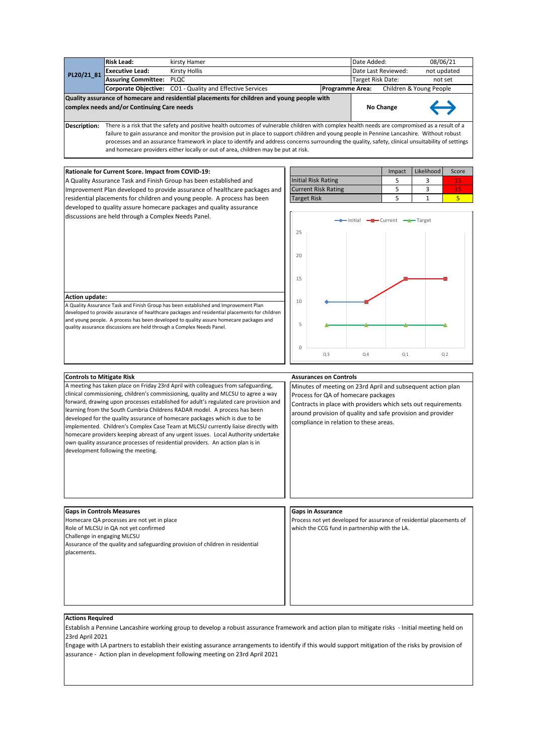|                                                                                                                                                                       | <b>Risk Lead:</b>                                                                                                                         | kirsty Hamer                                                     |                        | Date Added:         |                         | 08/06/21 |  |  |
|-----------------------------------------------------------------------------------------------------------------------------------------------------------------------|-------------------------------------------------------------------------------------------------------------------------------------------|------------------------------------------------------------------|------------------------|---------------------|-------------------------|----------|--|--|
| PL20/21_81 $\frac{1}{2}$                                                                                                                                              | <b>Executive Lead:</b>                                                                                                                    | <b>Kirsty Hollis</b>                                             |                        | Date Last Reviewed: | not updated             |          |  |  |
|                                                                                                                                                                       | <b>Assuring Committee: PLQC</b>                                                                                                           |                                                                  | Target Risk Date:      |                     | not set                 |          |  |  |
|                                                                                                                                                                       |                                                                                                                                           | <b>Corporate Objective:</b> CO1 - Quality and Effective Services | <b>Programme Area:</b> |                     | Children & Young People |          |  |  |
|                                                                                                                                                                       | Quality assurance of homecare and residential placements for children and young people with<br>complex needs and/or Continuing Care needs |                                                                  | <b>No Change</b>       | $\leftrightarrow$   |                         |          |  |  |
| There is a risk that the safety and positive health outcomes of vulnerable children with complex health needs are compromised as a result of a<br><b>Description:</b> |                                                                                                                                           |                                                                  |                        |                     |                         |          |  |  |

failure to gain assurance and monitor the provision put in place to support children and young people in Pennine Lancashire. Without robust processes and an assurance framework in place to identify and address concerns surrounding the quality, safety, clinical unsuitability of settings and homecare providers either locally or out of area, children may be put at risk.

# **Rationale for Current Score. Impact from COVID-19:**

A Quality Assurance Task and Finish Group has been established and Improvement Plan developed to provide assurance of healthcare packages and residential placements for children and young people. A process has been developed to quality assure homecare packages and quality assurance discussions are held through a Complex Needs Panel.

|                            | Impact | Likelihood | Score |
|----------------------------|--------|------------|-------|
| <b>Initial Risk Rating</b> |        |            |       |
| <b>Current Risk Rating</b> |        |            |       |
| <b>Target Risk</b>         |        |            |       |
|                            |        |            |       |

A Quality Assurance Task and Finish Group has been established and Improvement Plan developed to provide assurance of healthcare packages and residential placements for children and young people. A process has been developed to quality assure homecare packages and quality assurance discussions are held through a Complex Needs Panel. **Action update:**



# **Controls to Mitigate Risk**

A meeting has taken place on Friday 23rd April with colleagues from safeguarding, clinical commissioning, children's commissioning, quality and MLCSU to agree a way forward, drawing upon processes established for adult's regulated care provision and learning from the South Cumbria Childrens RADAR model. A process has been developed for the quality assurance of homecare packages which is due to be implemented. Children's Complex Case Team at MLCSU currently liaise directly with homecare providers keeping abreast of any urgent issues. Local Authority undertake own quality assurance processes of residential providers. An action plan is in development following the meeting.

### **Assurances on Controls**

Minutes of meeting on 23rd April and subsequent action plan Process for QA of homecare packages

Contracts in place with providers which sets out requirements around provision of quality and safe provision and provider compliance in relation to these areas.

## **Gaps in Controls Measures Gaps in Assurance** Homecare QA processes are not yet in place Role of MLCSU in QA not yet confirmed Challenge in engaging MLCSU Assurance of the quality and safeguarding provision of children in residential placements. Process not yet developed for assurance of residential placements of which the CCG fund in partnership with the LA.

#### **Actions Required**

Establish a Pennine Lancashire working group to develop a robust assurance framework and action plan to mitigate risks - Initial meeting held on 23rd April 2021

Engage with LA partners to establish their existing assurance arrangements to identify if this would support mitigation of the risks by provision of assurance - Action plan in development following meeting on 23rd April 2021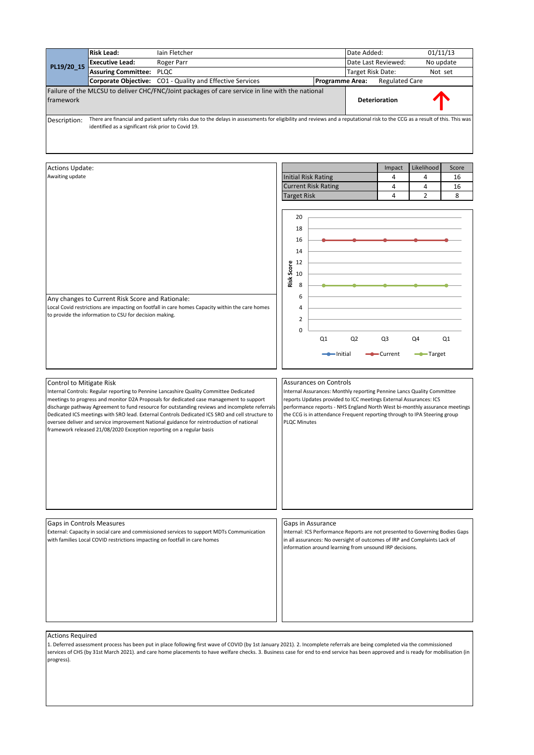|                                                                                                               | <b>Risk Lead:</b>                                                                                          | lain Fletcher                                                                                                                                                                                                                                                                                                                                                                                                                                                                     |  |                     |                                                     |  |                               |          | Date Added:    |                   |                                                         |                                                                                                                                                                                                                          | 01/11/13                                                                     |  |  |
|---------------------------------------------------------------------------------------------------------------|------------------------------------------------------------------------------------------------------------|-----------------------------------------------------------------------------------------------------------------------------------------------------------------------------------------------------------------------------------------------------------------------------------------------------------------------------------------------------------------------------------------------------------------------------------------------------------------------------------|--|---------------------|-----------------------------------------------------|--|-------------------------------|----------|----------------|-------------------|---------------------------------------------------------|--------------------------------------------------------------------------------------------------------------------------------------------------------------------------------------------------------------------------|------------------------------------------------------------------------------|--|--|
|                                                                                                               | <b>Executive Lead:</b>                                                                                     | Roger Parr                                                                                                                                                                                                                                                                                                                                                                                                                                                                        |  |                     |                                                     |  |                               |          |                |                   | Date Last Reviewed:                                     | No update                                                                                                                                                                                                                |                                                                              |  |  |
| PL19/20_15                                                                                                    | <b>Assuring Committee:</b>                                                                                 | PLQC                                                                                                                                                                                                                                                                                                                                                                                                                                                                              |  |                     |                                                     |  |                               |          |                | Target Risk Date: |                                                         | Not set                                                                                                                                                                                                                  |                                                                              |  |  |
| Corporate Objective: CO1 - Quality and Effective Services                                                     |                                                                                                            |                                                                                                                                                                                                                                                                                                                                                                                                                                                                                   |  |                     |                                                     |  | <b>Programme Area:</b>        |          |                |                   | <b>Regulated Care</b>                                   |                                                                                                                                                                                                                          |                                                                              |  |  |
| Failure of the MLCSU to deliver CHC/FNC/Joint packages of care service in line with the national<br>framework |                                                                                                            |                                                                                                                                                                                                                                                                                                                                                                                                                                                                                   |  |                     |                                                     |  |                               |          |                |                   | Deterioration                                           |                                                                                                                                                                                                                          |                                                                              |  |  |
| Description:                                                                                                  | identified as a significant risk prior to Covid 19.                                                        | There are financial and patient safety risks due to the delays in assessments for eligibility and reviews and a reputational risk to the CCG as a result of this. This was                                                                                                                                                                                                                                                                                                        |  |                     |                                                     |  |                               |          |                |                   |                                                         |                                                                                                                                                                                                                          |                                                                              |  |  |
| <b>Actions Update:</b>                                                                                        |                                                                                                            |                                                                                                                                                                                                                                                                                                                                                                                                                                                                                   |  |                     |                                                     |  |                               |          |                |                   | Impact                                                  | Likelihood                                                                                                                                                                                                               | Score                                                                        |  |  |
| Awaiting update                                                                                               |                                                                                                            |                                                                                                                                                                                                                                                                                                                                                                                                                                                                                   |  |                     |                                                     |  | <b>Initial Risk Rating</b>    |          |                |                   | 4                                                       | 4                                                                                                                                                                                                                        | 16                                                                           |  |  |
|                                                                                                               |                                                                                                            |                                                                                                                                                                                                                                                                                                                                                                                                                                                                                   |  |                     |                                                     |  | <b>Current Risk Rating</b>    |          |                |                   | 4                                                       | 4                                                                                                                                                                                                                        | 16                                                                           |  |  |
|                                                                                                               |                                                                                                            |                                                                                                                                                                                                                                                                                                                                                                                                                                                                                   |  | <b>Target Risk</b>  |                                                     |  |                               |          |                |                   | 4                                                       | $\overline{2}$                                                                                                                                                                                                           | 8                                                                            |  |  |
|                                                                                                               | Any changes to Current Risk Score and Rationale:<br>to provide the information to CSU for decision making. | Local Covid restrictions are impacting on footfall in care homes Capacity within the care homes                                                                                                                                                                                                                                                                                                                                                                                   |  | Risk Score<br>12    | 20<br>18<br>16<br>14<br>10<br>8<br>6<br>4<br>2<br>0 |  | Q1                            | ⇒Initial | Q <sub>2</sub> |                   | Q3<br>-Current                                          | Q4<br>-Target                                                                                                                                                                                                            | Q1                                                                           |  |  |
| Control to Mitigate Risk                                                                                      | framework released 21/08/2020 Exception reporting on a regular basis                                       | Internal Controls: Regular reporting to Pennine Lancashire Quality Committee Dedicated<br>meetings to progress and monitor D2A Proposals for dedicated case management to support<br>discharge pathway Agreement to fund resource for outstanding reviews and incomplete referrals<br>Dedicated ICS meetings with SRO lead. External Controls Dedicated ICS SRO and cell structure to<br>oversee deliver and service improvement National guidance for reintroduction of national |  | <b>PLQC Minutes</b> |                                                     |  | <b>Assurances on Controls</b> |          |                |                   |                                                         | Internal Assurances: Monthly reporting Pennine Lancs Quality Committee<br>reports Updates provided to ICC meetings External Assurances: ICS<br>the CCG is in attendance Frequent reporting through to IPA Steering group | performance reports - NHS England North West bi-monthly assurance meetings   |  |  |
|                                                                                                               |                                                                                                            |                                                                                                                                                                                                                                                                                                                                                                                                                                                                                   |  |                     |                                                     |  |                               |          |                |                   |                                                         |                                                                                                                                                                                                                          |                                                                              |  |  |
| Gaps in Controls Measures                                                                                     | with families Local COVID restrictions impacting on footfall in care homes                                 | External: Capacity in social care and commissioned services to support MDTs Communication                                                                                                                                                                                                                                                                                                                                                                                         |  |                     |                                                     |  | Gaps in Assurance             |          |                |                   | information around learning from unsound IRP decisions. | in all assurances: No oversight of outcomes of IRP and Complaints Lack of                                                                                                                                                | Internal: ICS Performance Reports are not presented to Governing Bodies Gaps |  |  |
|                                                                                                               |                                                                                                            |                                                                                                                                                                                                                                                                                                                                                                                                                                                                                   |  |                     |                                                     |  |                               |          |                |                   |                                                         |                                                                                                                                                                                                                          |                                                                              |  |  |

1. Deferred assessment process has been put in place following first wave of COVID (by 1st January 2021). 2. Incomplete referrals are being completed via the commissioned services of CHS (by 31st March 2021). and care home placements to have welfare checks. 3. Business case for end to end service has been approved and is ready for mobilisation (in progress).